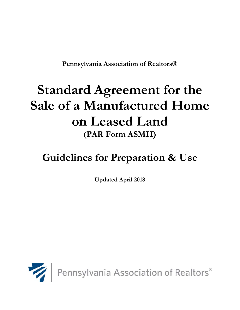**Pennsylvania Association of Realtors®** 

# **Standard Agreement for the Sale of a Manufactured Home on Leased Land (PAR Form ASMH)**

# **Guidelines for Preparation & Use**

**Updated April 2018**



Pennsylvania Association of Realtors®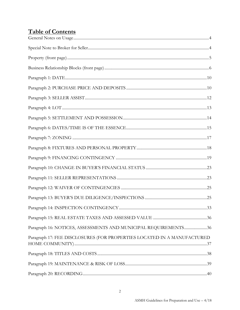# **Table of Contents**

| Paragraph 16: NOTICES, ASSESSMENTS AND MUNICIPAL REQUIREMENTS36         |  |
|-------------------------------------------------------------------------|--|
| Paragraph 17: FEE DISCLOSURES (FOR PROPERTIES LOCATED IN A MANUFACTURED |  |
|                                                                         |  |
|                                                                         |  |
|                                                                         |  |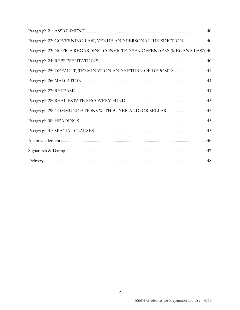| Paragraph 22: GOVERNING LAW, VENUE AND PERSONAL JURISDICTION 40         |
|-------------------------------------------------------------------------|
| Paragraph 23: NOTICE REGARDING CONVICTED SEX OFFENDERS (MEGAN'S LAW).40 |
|                                                                         |
| Paragraph 25: DEFAULT, TERMINATION AND RETURN OF DEPOSITS41             |
|                                                                         |
|                                                                         |
|                                                                         |
|                                                                         |
|                                                                         |
|                                                                         |
|                                                                         |
|                                                                         |
|                                                                         |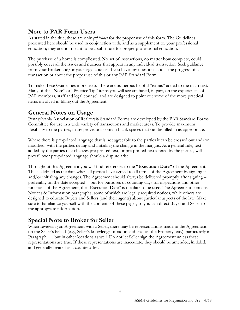# **Note to PAR Form Users**

As stated in the title, these are only *guidelines* for the proper use of this form. The Guidelines presented here should be used in conjunction with, and as a supplement to, your professional education; they are not meant to be a substitute for proper professional education.

The purchase of a home is complicated. No set of instructions, no matter how complete, could possibly cover all the issues and nuances that appear in any individual transaction. Seek guidance from your Broker and/or your legal counsel if you have any questions about the progress of a transaction or about the proper use of this or any PAR Standard Form.

To make these Guidelines more useful there are numerous helpful "extras" added to the main text. Many of the "Note" or "Practice Tip" items you will see are based, in part, on the experiences of PAR members, staff and legal counsel, and are designed to point out some of the more practical items involved in filling out the Agreement.

# <span id="page-3-0"></span>**General Notes on Usage**

Pennsylvania Association of Realtors® Standard Forms are developed by the PAR Standard Forms Committee for use in a wide variety of transactions and market areas. To provide maximum flexibility to the parties, many provisions contain blank spaces that can be filled in as appropriate.

Where there is pre-printed language that is not agreeable to the parties it can be crossed out and/or modified, with the parties dating and initialing the change in the margins. As a general rule, text added by the parties that changes pre-printed text, or pre-printed text altered by the parties, will prevail over pre-printed language should a dispute arise.

Throughout this Agreement you will find references to the **"Execution Date"** of the Agreement. This is defined as the date when all parties have agreed to all terms of the Agreement by signing it and/or initialing any changes. The Agreement should always be delivered promptly after signing – preferably on the date accepted -- but for purposes of counting days for inspections and other functions of the Agreement, the "Execution Date" is the date to be used. The Agreement contains Notices & Information paragraphs, some of which are legally required notices, while others are designed to educate Buyers and Sellers (and their agents) about particular aspects of the law. Make sure to familiarize yourself with the contents of these pages, so you can direct Buyer and Seller to the appropriate information.

# <span id="page-3-1"></span>**Special Note to Broker for Seller**

When reviewing an Agreement with a Seller, there may be representations made in the Agreement on the Seller's behalf (e.g., Seller's knowledge of radon and lead on the Property, etc.), particularly in Paragraph 11, but in other locations as well. Do not let Seller sign the Agreement unless these representations are true. If these representations are inaccurate, they should be amended, initialed, and generally treated as a counteroffer.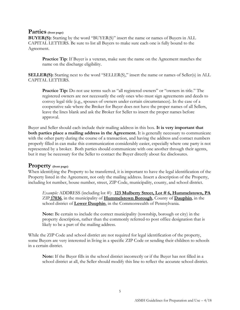# **Parties (front page)**

**BUYER(S):** Starting by the word "BUYER(S)" insert the name or names of Buyers in ALL CAPITAL LETTERS. Be sure to list all Buyers to make sure each one is fully bound to the Agreement.

**Practice Tip:** If Buyer is a veteran, make sure the name on the Agreement matches the name on the discharge eligibility.

**SELLER(S):** Starting next to the word "SELLER(S)," insert the name or names of Seller(s) in ALL CAPITAL LETTERS.

Practice Tip: Do not use terms such as "all registered owners" or "owners in title." The registered owners are not necessarily the only ones who must sign agreements and deeds to convey legal title (e.g., spouses of owners under certain circumstances). In the case of a cooperative sale where the Broker for Buyer does not have the proper names of all Sellers, leave the lines blank and ask the Broker for Seller to insert the proper names before approval.

Buyer and Seller should each include their mailing address in this box. **It is very important that both parties place a mailing address in the Agreement.** It is generally necessary to communicate with the other party during the course of a transaction, and having the address and contact numbers properly filled in can make this communication considerably easier, especially where one party is not represented by a broker. Both parties should communicate with one another through their agents, but it may be necessary for the Seller to contact the Buyer directly about fee disclosures.

# <span id="page-4-0"></span>**Property (front page)**

When identifying the Property to be transferred, it is important to have the legal identification of the Property listed in the Agreement, not only the mailing address. Insert a description of the Property, including lot number, house number, street, ZIP Code, municipality, county, and school district.

*Example:* ADDRESS (including lot #): **123 Mulberry Street, Lot #6, Hummelstown, PA** ZIP **17036**, in the municipality of **Hummelstown Borough**, County of **Dauphin**, in the school district of **Lower Dauphin**, in the Commonwealth of Pennsylvania.

**Note:** Be certain to include the correct municipality (township, borough or city) in the property description, rather than the commonly referred-to post office designation that is likely to be a part of the mailing address.

While the ZIP Code and school district are not required for legal identification of the property, some Buyers are very interested in living in a specific ZIP Code or sending their children to schools in a certain district.

**Note:** If the Buyer fills in the school district incorrectly or if the Buyer has not filled in a school district at all, the Seller should modify this line to reflect the accurate school district.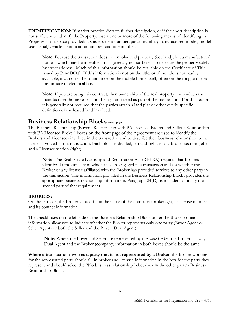**IDENTIFICATION:** If market practice dictates further description, or if the short description is not sufficient to identify the Property, insert one or more of the following means of identifying the Property in the space provided: tax assessment number; parcel number; manufacturer, model, model year; serial/vehicle identification number; and title number.

**Note:** Because the transaction does not involve real property (i.e., land), but a manufactured home – which may be movable – it is generally not sufficient to describe the property solely by street address. Much of this information should be available on the Certificate of Title issued by PennDOT. If this information is not on the title, or if the title is not readily available, it can often be found in or on the mobile home itself, often on the tongue or near the furnace or electrical box.

**Note:** If you are using this contract, then ownership of the real property upon which the manufactured home rests is not being transferred as part of the transaction. For this reason it is generally not required that the parties attach a land plat or other overly specific definition of the leased land involved.

# <span id="page-5-0"></span>**Business Relationship Blocks** (front page)

The Business Relationship (Buyer's Relationship with PA Licensed Broker and Seller's Relationship with PA Licensed Broker) boxes on the front page of the Agreement are used to identify the Brokers and Licensees involved in the transaction and to describe their business relationship to the parties involved in the transaction. Each block is divided, left and right, into a Broker section (left) and a Licensee section (right).

**Note:** The Real Estate Licensing and Registration Act (RELRA) requires that Brokers identify: (1) the capacity in which they are engaged in a transaction and (2) whether the Broker or any licensee affiliated with the Broker has provided services to any other party in the transaction. The information provided in the Business Relationship Blocks provides the appropriate business relationship information. Paragraph 24(D), is included to satisfy the second part of that requirement.

## **BROKERS:**

On the left side, the Broker should fill in the name of the company (brokerage), its license number, and its contact information.

The checkboxes on the left side of the Business Relationship Block under the Broker contact information allow you to indicate whether the Broker represents only one party (Buyer Agent or Seller Agent) or both the Seller and the Buyer (Dual Agent).

**Note:** Where the Buyer and Seller are represented by the *same Broker*, the Broker is always a Dual Agent and the Broker (company) information in both boxes should be the same.

**Where a transaction involves a party that is not represented by a Broker**, the Broker working for the represented party should fill in broker and licensee information in the box for the party they represent and should select the "No business relationship" checkbox in the other party's Business Relationship Block.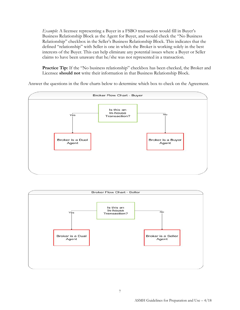*Example*: A licensee representing a Buyer in a FSBO transaction would fill in Buyer's Business Relationship Block as the Agent for Buyer, and would check the "No Business Relationship" checkbox in the Seller's Business Relationship Block. This indicates that the defined "relationship" with Seller is one in which the Broker is working solely in the best interests of the Buyer. This can help eliminate any potential issues where a Buyer or Seller claims to have been unaware that he/she was not represented in a transaction.

Practice Tip: If the "No business relationship" checkbox has been checked, the Broker and Licensee **should not** write their information in that Business Relationship Block.

Answer the questions in the flow charts below to determine which box to check on the Agreement.



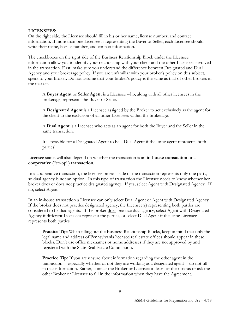#### **LICENSEES:**

On the right side, the Licensee should fill in his or her name, license number, and contact information. If more than one Licensee is representing the Buyer or Seller, each Licensee should write their name, license number, and contact information.

The checkboxes on the right side of the Business Relationship Block under the Licensee information allow you to identify your relationship with your client and the other Licensees involved in the transaction. First, make sure you understand the difference between Designated and Dual Agency and your brokerage policy. If you are unfamiliar with your broker's policy on this subject, speak to your broker. Do not assume that your broker's policy is the same as that of other brokers in the market.

A **Buyer Agent** or **Seller Agent** is a Licensee who, along with all other licensees in the brokerage, represents the Buyer or Seller.

A **Designated Agent** is a Licensee assigned by the Broker to act exclusively as the agent for the client to the exclusion of all other Licensees within the brokerage.

A **Dual Agent** is a Licensee who acts as an agent for both the Buyer and the Seller in the same transaction.

It is possible for a Designated Agent to be a Dual Agent if the same agent represents both parties!

Licensee status will also depend on whether the transaction is an **in-house transaction** or a **cooperative** ("co-op") **transaction**.

In a cooperative transaction, the licensee on each side of the transaction represents only one party, so dual agency is not an option. In this type of transaction the Licensee needs to know whether her broker does or does not practice designated agency. If yes, select Agent with Designated Agency. If no, select Agent.

In an in-house transaction a Licensee can only select Dual Agent or Agent with Designated Agency. If the broker does not practice designated agency, the Licensee(s) representing both parties are considered to be dual agents. If the broker does practice dual agency, select Agent with Designated Agency if different Licensees represent the parties, or select Dual Agent if the same Licensee represents both parties.

**Practice Tip:** When filling out the Business Relationship Blocks, keep in mind that only the legal name and address of Pennsylvania licensed real estate offices should appear in these blocks. Don't use office nicknames or home addresses if they are not approved by and registered with the State Real Estate Commission.

**Practice Tip:** If you are unsure about information regarding the other agent in the transaction -- especially whether or not they are working as a designated agent -- do not fill in that information. Rather, contact the Broker or Licensee to learn of their status or ask the other Broker or Licensee to fill in the information when they have the Agreement.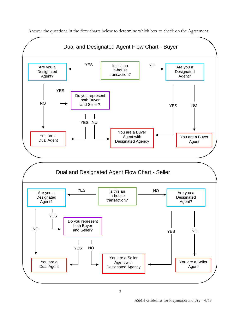

Answer the questions in the flow charts below to determine which box to check on the Agreement.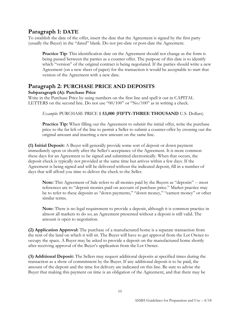# <span id="page-9-0"></span>**Paragraph 1: DATE**

To establish the date of the offer, insert the date that the Agreement is signed by the first party (usually the Buyer) in the "dated" blank. Do not pre-date or post-date the Agreement.

**Practice Tip**: This identification date on the Agreement should not change as the form is being passed between the parties as a counter offer. The purpose of this date is to identify which "version" of the original contract is being negotiated. If the parties should write a new Agreement (on a new sheet of paper) for the transaction it would be acceptable to start that version of the Agreement with a new date.

# <span id="page-9-1"></span>**Paragraph 2: PURCHASE PRICE AND DEPOSITS**

## **Subparagraph (A): Purchase Price**

Write in the Purchase Price by using numbers on the first line and spell it out in CAPITAL LETTERS on the second line. Do not use "00/100" or "No/100" as in writing a check.

## *Example*: PURCHASE PRICE \$ **53,000** (**FIFTY-THREE THOUSAND** U.S. Dollars)

**Practice Tip:** When filling out the Agreement to submit the initial offer, write the purchase price to the far left of the line to permit a Seller to submit a counter-offer by crossing out the original amount and inserting a new amount on the same line.

**(1) Initial Deposit:** A Buyer will generally provide some sort of deposit or down payment immediately upon or shortly after the Seller's acceptance of the Agreement. It is more common these days for an Agreement to be signed and submitted electronically. When that occurs, the deposit check is typically not provided at the same time but arrives within a few days. If the Agreement is being signed and will be delivered without the indicated deposit, fill in a number of days that will afford you time to deliver the check to the Seller.

**Note:** This Agreement of Sale refers to all monies paid by the Buyers as "deposits" -- most references are to "deposit monies paid on account of purchase price." Market practice may be to refer to these deposits as "down payments," "down money," "earnest money" or other similar terms.

**Note:** There is no legal requirement to provide a deposit, although it is common practice in almost all markets to do so; an Agreement presented without a deposit is still valid. The amount is open to negotiation.

**(2) Application Approval:** The purchase of a manufactured home is a separate transaction from the rent of the land on which it will sit. The Buyer will have to get approval from the Lot Owner to occupy the space. A Buyer may be asked to provide a deposit on the manufactured home shortly after receiving approval of the Buyer's application from the Lot Owner.

**(3) Additional Deposit:** The Sellers may request additional deposits at specified times during the transaction as a show of commitment by the Buyer. If any additional deposit is to be paid, the amount of the deposit and the time for delivery are indicated on this line. Be sure to advise the Buyer that making this payment on time is an obligation of the Agreement, and that there may be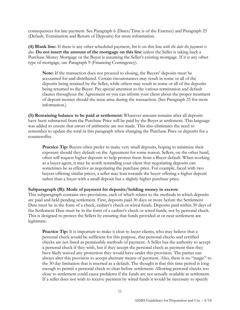consequences for late payment. See Paragraph 6 (Dates/Time is of the Essence) and Paragraph 25 (Default, Termination and Return of Deposits) for more information.

**(4) Blank line:** If there is any other scheduled payment, list it on this line *with the date the payment is due.* **Do not insert the amount of the mortgage on this line** unless the Seller is taking back a Purchase Money Mortgage or the Buyer is assuming the Seller's existing mortgage. If it is any other type of mortgage, use Paragraph 9 (Financing Contingency).

**Note:** If the transaction does not proceed to closing, the Buyers' deposits must be accounted for and distributed. Certain circumstances may result in some or all of the deposits being retained by the Seller, while others may result in some or all of the deposits being returned to the Buyer. Pay special attention to the various termination and default clauses throughout the Agreement so you can inform your client about the proper treatment of deposit monies should the issue arise during the transaction. (See Paragraph 25 for more information.)

**(5) Remaining balance to be paid at settlement:** Whatever amount remains after all deposits have been subtracted from the Purchase Price will be paid by the Buyer at settlement. This language was added to ensure that errors of arithmetic are not made. This also eliminates the need to remember to update the total in this paragraph when changing the Purchase Price or deposits for a counteroffer.

**Practice Tip:** Buyers often prefer to make very small deposits, hoping to minimize their exposure should they default on the Agreement for some reason. Sellers, on the other hand, often will request higher deposits to help protect them from a Buyer default. When working as a buyer agent, it may be worth reminding your client that negotiating deposits can sometimes be as effective as negotiating the purchase price. For example, faced with two buyers offering similar prices, a seller may lean towards the buyer offering a higher deposit rather than a buyer with a small deposit but a slightly higher purchase price.

#### **Subparagraph (B): Mode of payment for deposits/holding money in escrow**

This subparagraph contains two provisions, each of which relates to the methods in which deposits are paid and held pending settlement. First, deposits paid 30 days or more before the Settlement Date must be in the form of a check, cashier's check or wired funds. Deposits paid within 30 days of the Settlement Date must be in the form of a cashier's check or wired funds, not by personal check. This is designed to protect the Sellers by ensuring that funds provided at or near settlement are legitimate.

**Practice Tip:** It is important to make it clear to buyer clients, who may believe that a personal check would be sufficient for this purpose, that personal checks and certified checks are not listed as permissible methods of payment. A Seller has the authority to accept a personal check if they wish, but if they accept the personal check as payment then they have likely waived any protection they would have under this provision. The parties can always alter this provision to accept alternate means of payment. Also, there is no "magic" to the 30 day limitation that is inserted as a default. The thought is that this time period is long enough to permit a personal check to clear before settlement. Allowing personal checks too close to settlement could cause problems if the funds are not actually available at settlement. If a seller does not wish to receive payment by wired funds it would be necessary to specify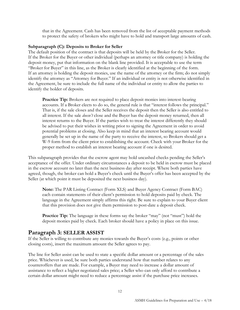that in the Agreement. Cash has been removed from the list of acceptable payment methods to protect the safety of brokers who might have to hold and transport large amounts of cash.

#### **Subparagraph (C): Deposits to Broker for Seller**

The default position of the contract is that deposits will be held by the Broker for the Seller. If the Broker for the Buyer or other individual (perhaps an attorney or title company) is holding the deposit money, put that information on the blank line provided. It is acceptable to use the term "Broker for Buyer" in this line, as the Broker is clearly identified at the beginning of the form. If an attorney is holding the deposit monies, use the name of the attorney or the firm; do not simply identify the attorney as "Attorney for Buyer." If an individual or entity is not otherwise identified in the Agreement, be sure to include the full name of the individual or entity to allow the parties to identify the holder of deposits.

**Practice Tip:** Brokers are not required to place deposit monies into interest-bearing accounts. If a Broker elects to do so, the general rule is that "interest follows the principal." That is, if the sale closes and the Seller receives the deposit then the Seller is also entitled to all interest. If the sale *doesn't* close and the Buyer has the deposit money returned, then all interest returns to the Buyer. If the parties wish to treat the interest differently they should be advised to put their wishes in writing prior to signing the Agreement in order to avoid potential problems at closing. Also keep in mind that an interest bearing account would generally be set up in the name of the party to receive the interest, so Brokers should get a W-9 form from the client prior to establishing the account. Check with your Broker for the proper method to establish an interest bearing account if one is desired.

This subparagraph provides that the escrow agent may hold uncashed checks pending the Seller's acceptance of the offer. Under ordinary circumstances a deposit to be held in escrow must be placed in the escrow account no later than the next business day after receipt. Where both parties have agreed, though, the broker can hold a Buyer's check until the Buyer's offer has been accepted by the Seller (at which point it must be deposited the next business day).

**Note:** The PAR Listing Contract (Form XLS) and Buyer Agency Contract (Form BAC) each contain statements of their client's permission to hold deposits paid by check. The language in the Agreement simply affirms this right. Be sure to explain to your Buyer client that this provision does not give them permission to post-date a deposit check.

Practice Tip: The language in these forms say the broker "may" (not "must") hold the deposit monies paid by check. Each broker should have a policy in place on this issue.

# <span id="page-11-0"></span>**Paragraph 3: SELLER ASSIST**

If the Seller is willing to contribute any monies towards the Buyer's costs (e.g., points or other closing costs), insert the maximum amount the Seller agrees to pay.

The line for Seller assist can be used to state a specific dollar amount or a percentage of the sales price. Whichever is used, be sure both parties understand how that number relates to any counteroffers that are made. For example, a Buyer may need to increase a dollar amount of assistance to reflect a higher negotiated sales price; a Seller who can only afford to contribute a certain dollar amount might need to reduce a percentage assist if the purchase price increases.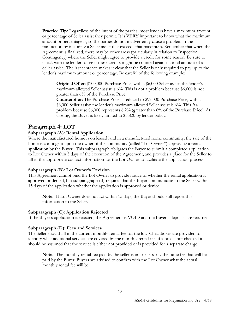**Practice Tip:** Regardless of the intent of the parties, most lenders have a maximum amount or percentage of Seller assist they permit. It is VERY important to know what the maximum amount or percentage is, so the parties do not inadvertently cause a problem in the transaction by including a Seller assist that exceeds that maximum. Remember that when the Agreement is finalized, there may be other areas (particularly in relation to Inspection Contingency) where the Seller might agree to provide a credit for some reason. Be sure to check with the lender to see if these credits might be counted against a total amount of a Seller assist. The last sentence makes it clear that the Seller is only required to pay up to the lender's maximum amount or percentage. Be careful of the following example:

**Original Offer:** \$100,000 Purchase Price, with a \$6,000 Seller assist; the lender's maximum allowed Seller assist is 6%. This is not a problem because \$6,000 is not greater than 6% of the Purchase Price.

**Counteroffer:** The Purchase Price is reduced to \$97,000 Purchase Price, with a \$6,000 Seller assist; the lender's maximum allowed Seller assist is 6%. This *is* a problem because \$6,000 represents 6.2% (greater than 6% of the Purchase Price). At closing, the Buyer is likely limited to \$5,820 by lender policy.

# <span id="page-12-0"></span>**Paragraph 4: LOT**

#### **Subparagraph (A): Rental Application**

Where the manufactured home is on leased land in a manufactured home community, the sale of the home is contingent upon the owner of the community (called "Lot Owner") approving a rental application by the Buyer. This subparagraph obligates the Buyer to submit a completed application to Lot Owner within 5 days of the execution of the Agreement, and provides a place for the Seller to fill in the appropriate contact information for the Lot Owner to facilitate the application process.

#### **Subparagraph (B): Lot Owner's Decision**

This Agreement cannot bind the Lot Owner to provide notice of whether the rental application is approved or denied, but subparagraph (B) requires that the Buyer communicate to the Seller within 15 days of the application whether the application is approved or denied.

**Note:** If Lot Owner does not act within 15 days, the Buyer should still report this information to the Seller.

#### **Subparagraph (C): Application Rejected**

If the Buyer's application is rejected, the Agreement is VOID and the Buyer's deposits are returned.

#### **Subparagraph (D): Fees and Services**

The Seller should fill in the current monthly rental fee for the lot. Checkboxes are provided to identify what additional services are covered by the monthly rental fee; if a box is not checked it should be assumed that the service is either not provided or is provided for a separate charge.

**Note:** The monthly rental fee paid by the seller is not necessarily the same fee that will be paid by the Buyer. Buyers are advised to confirm with the Lot Owner what the actual monthly rental fee will be.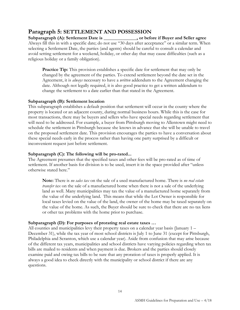# <span id="page-13-0"></span>**Paragraph 5: SETTLEMENT AND POSSESSION**

**Subparagraph (A): Settlement Date is \_\_\_\_\_\_\_\_\_\_\_\_\_\_, or before if Buyer and Seller agree** Always fill this in with a specific date; do not use "30 days after acceptance" or a similar term. When selecting a Settlement Date, the parties (and agents) should be careful to consult a calendar and avoid setting settlement for a weekend, holiday, or other day that may cause difficulties (such as a religious holiday or a family obligation).

**Practice Tip:** This provision establishes a specific date for settlement that may only be changed by the agreement of the parties. To extend settlement beyond the date set in the Agreement, it is *always* necessary to have a *written* addendum to the Agreement changing the date. Although not legally required, it is also good practice to get a written addendum to change the settlement to a date earlier than that stated in the Agreement.

#### **Subparagraph (B): Settlement location**

This subparagraph establishes a default position that settlement will occur in the county where the property is located or an adjacent county, during normal business hours. While this is the case for most transactions, there may be buyers and sellers who have special needs regarding settlement that will need to be addressed. For example, a buyer from Pittsburgh moving to Allentown might need to schedule the settlement in Pittsburgh because she knows in advance that she will be unable to travel on the proposed settlement date. This provision encourages the parties to have a conversation about these special needs early in the process rather than having one party surprised by a difficult or inconvenient request just before settlement.

#### **Subparagraph (C): The following will be pro-rated...**

The Agreement presumes that the specified taxes and other fees will be pro-rated as of time of settlement. If another basis for division is to be used, insert it in the space provided after "unless otherwise stated here."

**Note:** There is *no sales tax* on the sale of a used manufactured home. There is *no real estate transfer tax* on the sale of a manufactured home when there is not a sale of the underlying land as well. Many municipalities may tax the value of a manufactured home separately from the value of the underlying land. This means that while the Lot Owner is responsible for local taxes levied on the value of the land, the owner of the home may be taxed separately on the value of the home. As such, the Buyer should be sure to check that there are no tax liens or other tax problems with the home prior to purchase.

## **Subparagraph (D): For purposes of prorating real estate taxes …**

All counties and municipalities levy their property taxes on a calendar year basis (January 1 – December 31), while the tax year of most school districts is July 1 to June 31 (except for Pittsburgh, Philadelphia and Scranton, which use a calendar year). Aside from confusion that may arise because of the different tax years, municipalities and school districts have varying policies regarding when tax bills are mailed to residents and when payment is due. Brokers and the parties should closely examine paid and owing tax bills to be sure that any proration of taxes is properly applied. It is always a good idea to check directly with the municipality or school district if there are any questions.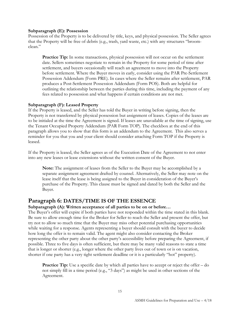#### **Subparagraph (E): Possession**

Possession of the Property is to be delivered by title, keys, and physical possession. The Seller agrees that the Property will be free of debris (e.g., trash, yard waste, etc.) with any structures "broomclean."

**Practice Tip:** In some transactions, physical possession will not occur on the settlement date. Sellers sometimes negotiate to remain in the Property for some period of time after settlement, and buyers occasionally will reach an agreement to move into the Property before settlement. Where the Buyer moves in early, consider using the PAR Pre-Settlement Possession Addendum (Form PRE). In cases where the Seller remains after settlement, PAR produces a Post-Settlement Possession Addendum (Form POS). Both are helpful for outlining the relationship between the parties during this time, including the payment of any fees related to possession and what happens if certain conditions are not met.

## **Subparagraph (F): Leased Property**

If the Property is leased, and the Seller has told the Buyer in writing before signing, then the Property is not transferred by physical possession but assignment of leases. Copies of the leases are to be initialed at the time the Agreement is signed. If leases are unavailable at the time of signing, use the Tenant Occupied Property Addendum (PAR Form TOP). The checkbox at the end of this paragraph allows you to show that this form is an addendum to the Agreement. This also serves a reminder for you that you and your client should consider attaching Form TOP if the Property is leased.

If the Property is leased, the Seller agrees as of the Execution Date of the Agreement to not enter into any new leases or lease extensions without the written consent of the Buyer.

**Note:** The assignment of leases from the Seller to the Buyer may be accomplished by a separate assignment agreement drafted by counsel. Alternatively, the Seller may note on the lease itself that the lease is being assigned to the Buyer in consideration of the Buyer's purchase of the Property. This clause must be signed and dated by both the Seller and the Buyer.

# <span id="page-14-0"></span>**Paragraph 6: DATES/TIME IS OF THE ESSENCE**

## **Subparagraph (A): Written acceptance of all parties to be on or before…**

The Buyer's offer will expire if both parties have not responded within the time stated in this blank. Be sure to allow enough time for the Broker for Seller to reach the Seller and present the offer, but try not to allow so much time that the Buyer may miss other potential purchasing opportunities while waiting for a response. Agents representing a buyer should consult with the buyer to decide how long the offer is to remain valid. The agent might also consider contacting the Broker representing the other party about the other party's accessibility before preparing the Agreement, if possible. Three to five days is often sufficient, but there may be many valid reasons to state a time that is longer or shorter (e.g., longer where the other party lives out of town or is on vacation, shorter if one party has a very tight settlement deadline or it is a particularly "hot" property).

**Practice Tip:** Use a specific date by which all parties have to accept or reject the offer – do not simply fill in a time period (e.g., "3 days") as might be used in other sections of the Agreement.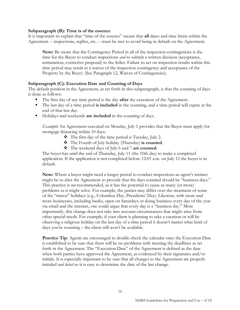#### **Subparagraph (B): Time is of the essence**

It is important to explain that "time of the essence" means that **all** dates and time limits within the Agreement -- inspections, replies, etc. -- must be met to avoid being in default on the Agreement.

**Note:** Be aware that the Contingency Period in all of the inspection contingencies is the time for the Buyer to conduct inspections *and* to submit a written decision (acceptance, termination, corrective proposal) to the Seller. Failure to act on inspection results within this time period may result in a waiver of the inspection contingency and acceptance of the Property by the Buyer. (See Paragraph 12, Waiver of Contingencies).

## **Subparagraph (C): Execution Date and Counting of Days**

The default position in the Agreement, as set forth in this subparagraph, is that the counting of days is done as follows:

- The first day of any time period is the day **after** the execution of the Agreement.
- The last day of a time period **is included** in the counting, and a time period will expire at the end of that last day.
- Holidays and weekends **are included** in the counting of days.

*Example***:** An Agreement executed on Monday, July 1 provides that the Buyer must apply for mortgage financing within 10 days:

- The first day of the time period is Tuesday, July 2.
- The Fourth of July holiday (Thursday) **is counted**.
- The weekend days of July 6 and 7 **are counted**.

The buyer has until the end of Thursday, July 11 (the 10th day) to make a completed application. If the application is not completed before 12:01 a.m. on July 12 the buyer is in default.

**Note:** Where a buyer might need a longer period to conduct inspections an agent's instinct might be to alter the Agreement to provide that the days counted should be "business days." This practice is *not* recommended, as it has the potential to cause as many (or more) problems as it might solve. For example, the parties may differ over the treatment of some of the "minor" holidays (e.g., Columbus Day, Presidents' Day). Likewise, with more and more businesses, including banks, open on Saturdays or doing business every day of the year via email and the internet, one could argue that every day is a "business day." More importantly, this change does not take into account circumstances that might arise from other special needs. For example, if your client is planning to take a vacation or will be observing a religious holiday on the last day of a time period it doesn't matter what kind of days you're counting – the client still won't be available.

**Practice Tip:** Agents are encouraged to double-check the calendar once the Execution Date is established to be sure that there will be no problems with meeting the deadlines as set forth in the Agreement. The "Execution Date" of the Agreement is defined as the date when both parties have approved the Agreement, as evidenced by their signatures and/or initials. It is especially important to be sure that all changes to the Agreement are properly initialed *and dated* so it is easy to determine the date of the last change.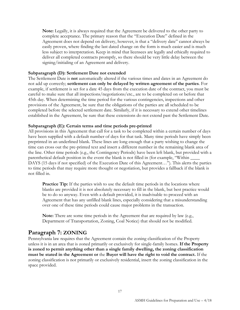**Note:** Legally, it is always required that the Agreement be delivered to the other party to complete acceptance. The primary reason that the "Execution Date" defined in the Agreement does not depend on delivery, however, is that a "delivery date" cannot always be easily proven, where finding the last dated change on the form is much easier and is much less subject to interpretation. Keep in mind that licensees are legally and ethically required to deliver all completed contracts promptly, so there should be very little delay between the signing/initialing of an Agreement and delivery.

#### **Subparagraph (D): Settlement Date not extended**

The Settlement Date is **not** automatically altered if the various times and dates in an Agreement do not add up correctly; **settlement can only be delayed by written agreement of the parties**. For example, if settlement is set for a date 45 days from the execution date of the contract, you must be careful to make sure that all inspections/negotiations/etc., are to be completed on or before that 45th day. When determining the time period for the various contingencies, inspections and other provisions of the Agreement, be sure that the obligations of the parties are all scheduled to be completed before the selected settlement date. Similarly, if it is necessary to extend other timelines established in the Agreement, be sure that these extensions do not extend past the Settlement Date.

#### **Subparagraph (E): Certain terms and time periods pre-printed**

All provisions in this Agreement that call for a task to be completed within a certain number of days have been supplied with a default number of days for that task. Many time periods have simply been preprinted in an underlined blank. These lines are long enough that a party wishing to change the time can cross out the pre-printed text and insert a different number in the remaining blank area of the line. Other time periods (e.g., the Contingency Periods) have been left blank, but provided with a parenthetical default position in the event the blank is not filled in (for example, "Within \_\_\_\_ DAYS (15 days if not specified) of the Execution Date of this Agreement…"). This alerts the parties to time periods that may require more thought or negotiation, but provides a fallback if the blank is not filled in.

**Practice Tip:** If the parties wish to use the default time periods in the locations where blanks are provided it is not absolutely necessary to fill in the blank, but best practice would be to do so anyway. Even with a default provided, it is inadvisable to proceed with an Agreement that has any unfilled blank lines, especially considering that a misunderstanding over one of these time periods could cause major problems in the transaction.

**Note:** There are some time periods in the Agreement that are required by law (e.g., Department of Transportation, Zoning, Coal Notice) that should not be modified.

# <span id="page-16-0"></span>**Paragraph 7: ZONING**

Pennsylvania law requires that the Agreement contain the zoning classification of the Property unless it is in an area that is zoned primarily or exclusively for single-family homes. **If the Property is zoned to permit anything other than a single family dwelling, the zoning classification must be stated in the Agreement or** the **Buyer will have the right to void the contract.** If the zoning classification is not primarily or exclusively residential, insert the zoning classification in the space provided.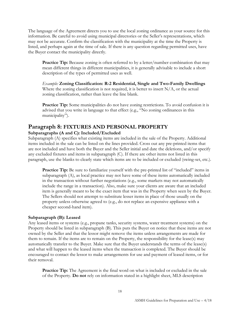The language of the Agreement directs you to use the local zoning ordinance as your source for this information. Be careful to avoid using municipal directories or the Seller's representations, which may not be accurate. Confirm the classification with the municipality at the time the Property is listed, and perhaps again at the time of sale. If there is any question regarding permitted uses, have the Buyer contact the municipality directly.

**Practice Tip:** Because zoning is often referred to by a letter/number combination that may mean different things in different municipalities, it is generally advisable to include a short description of the types of permitted uses as well.

*Example:* **Zoning Classification: R-2 Residential, Single and Two-Family Dwellings** Where the zoning classification is not required, it is better to insert  $N/A$ , or the actual zoning classification, rather than leave the line blank.

**Practice Tip:** Some municipalities do not have zoning restrictions. To avoid confusion it is advised that you write in language to that effect (e.g., "No zoning ordinances in this municipality").

# <span id="page-17-0"></span>**Paragraph 8: FIXTURES AND PERSONAL PROPERTY**

#### **Subparagraphs (A and C): Included/Excluded**

Subparagraph (A) specifies what existing items are included in the sale of the Property. Additional items included in the sale can be listed on the lines provided. Cross out any pre-printed items that are not included and have both the Buyer and the Seller initial and date the deletions, and/or specify any excluded fixtures and items in subparagraph (C). If there are other items not listed in this paragraph, use the blanks to clearly state which items are to be included or excluded (swing-set, etc.).

**Practice Tip:** Be sure to familiarize yourself with the pre-printed list of "included" items in subparagraph (A), as local practice may not have some of these items automatically included in the transaction without further negotiations (e.g., some markets may not automatically include the range in a transaction). Also, make sure your clients are aware that an included item is generally meant to be the exact item that was in the Property when seen by the Buyer. The Sellers should not attempt to substitute lesser items in place of those usually on the property unless otherwise agreed to (e.g., do not replace an expensive appliance with a cheaper second-hand item).

#### **Subparagraph (B): Leased**

Any leased items or systems (e.g., propane tanks, security systems, water treatment systems) on the Property should be listed in subparagraph (B). This puts the Buyer on notice that these items are not owned by the Seller and that the lessor might remove the items unless arrangements are made for them to remain. If the items are to remain on the Property, the responsibility for the lease(s) may automatically transfer to the Buyer. Make sure that the Buyer understands the terms of the lease(s) and what will happen to the leased items when the transaction is completed. The Buyer should be encouraged to contact the lessor to make arrangements for use and payment of leased items, or for their removal.

**Practice Tip:** The Agreement is the final word on what is included or excluded in the sale of the Property. **Do not** rely on information stated in a highlight sheet, MLS description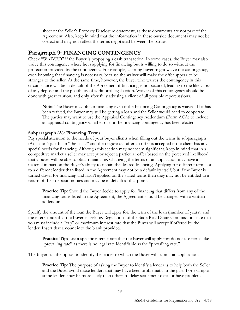sheet or the Seller's Property Disclosure Statement, as these documents are not part of the Agreement. Also, keep in mind that the information in these outside documents may not be correct and may not reflect the terms negotiated between the parties.

# <span id="page-18-0"></span>**Paragraph 9: FINANCING CONTINGENCY**

Check "WAIVED" if the Buyer is proposing a cash transaction. In some cases, the Buyer may also waive this contingency where he is applying for financing but is willing to do so without the protection provided by the contingency. For example, a strong buyer might waive the contingency, even knowing that financing is necessary, because the waiver will make the offer appear to be stronger to the seller. At the same time, however, the buyer who waives the contingency in this circumstance will be in default of the Agreement if financing is not secured, leading to the likely loss of any deposit and the possibility of additional legal action. Waiver of this contingency should be done with great caution, and only after fully advising a client of all possible repercussions.

**Note**: The Buyer may obtain financing even if the Financing Contingency is waived. If it has been waived, the Buyer may still be getting a loan and the Seller would need to cooperate. The parties may want to use the Appraisal Contingency Addendum (Form ACA) to include an appraisal contingency whether or not the financing contingency has been elected.

## **Subparagraph (A): Financing Terms**

Pay special attention to the needs of your buyer clients when filling out the terms in subparagraph (A) -- don't just fill in "the usual" and then figure out after an offer is accepted if the client has any special needs for financing. Although this section may not seem significant, keep in mind that in a competitive market a seller may accept or reject a particular offer based on the perceived likelihood that a buyer will be able to obtain financing. Changing the terms of an application may have a material impact on the Buyer's ability to obtain the desired financing. Applying for different terms or to a different lender than listed in the Agreement may not be a default by itself, but if the Buyer is turned down for financing and hasn't applied on the stated terms then they may not be entitled to a return of their deposit monies and may be in default at that point.

**Practice Tip:** Should the Buyer decide to apply for financing that differs from any of the financing terms listed in the Agreement, the Agreement should be changed with a written addendum.

Specify the amount of the loan the Buyer will apply for, the term of the loan (number of years), and the interest rate that the Buyer is seeking. Regulations of the State Real Estate Commission state that you must include a "cap" or maximum interest rate that the Buyer will accept if offered by the lender. Insert that amount into the blank provided.

**Practice Tip:** List a specific interest rate that the Buyer will apply for; do not use terms like "prevailing rate" as there is no legal rate identifiable as the "prevailing rate."

The Buyer has the option to identify the lender to which the Buyer will submit an application.

**Practice Tip:** The purpose of asking the Buyer to identify a lender is to help both the Seller and the Buyer avoid those lenders that may have been problematic in the past. For example, some lenders may be more likely than others to delay settlement dates or have problems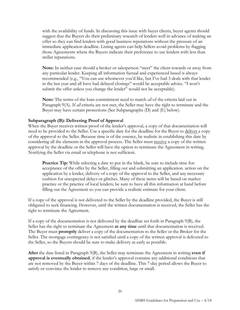with the availability of funds. In discussing this issue with buyer clients, buyer agents should suggest that the Buyers do their preliminary research of lenders well in advance of making an offer so they can find lenders with good business reputations without the pressure of an immediate application deadline. Listing agents can help Sellers avoid problems by flagging those Agreements where the Buyers indicate their preference to use lenders with less than stellar reputations.

**Note:** In neither case should a broker or salesperson "steer" the client towards or away from any particular lender. Keeping all information factual and experienced based is always recommended (e.g., "You can use whomever you'd like, but I've had 3 deals with that lender in the last year and all have had delayed closings" would be acceptable advice. "I won't submit the offer unless you change the lender" would not be acceptable).

**Note:** The terms of the loan commitment need to match *all* of the criteria laid out in Paragraph 9(A). If *all* criteria are not met, the Seller may have the right to terminate and the Buyer may have certain protections (See Subparagraphs (D) and (E) below).

## **Subparagraph (B): Delivering Proof of Approval**

When the Buyer receives written proof of the lender's approval, a copy of that documentation will need to be provided to the Seller. Use a specific date for the deadline for the Buyer to deliver a copy of the approval to the Seller. Because time is of the essence, be realistic in establishing this date by considering all the elements in the approval process. The Seller must receive a copy of the written approval by the deadline or the Seller will have the option to terminate the Agreement in writing. Notifying the Seller via email or telephone is not sufficient.

**Practice Tip:** While selecting a date to put in the blank, be sure to include time for: acceptance of the offer by the Seller, filling out and submitting an application. action on the application by a lender, delivery of a copy of the approval to the Seller, and any necessary cushion for unexpected delays or glitches. Many of these items will be based on market practice or the practice of local lenders; be sure to have all this information at hand before filling out the Agreement so you can provide a realistic estimate for your client.

If a copy of the approval is not delivered to the Seller by the deadline provided, the Buyer is still obligated to seek financing. However, until the written documentation is received, the Seller has the right to terminate the Agreement.

If a copy of the documentation is not delivered by the deadline set forth in Paragraph 9(B), the Seller has the right to terminate the Agreement **at any time** until that documentation is received. The Buyer must **promptly** deliver a copy of the documentation to the Seller or the Broker for the Seller. The mortgage contingency is not satisfied until a copy of the written approval is delivered to the Seller, so the Buyers should be sure to make delivery as early as possible.

**After** the date listed in Paragraph 9(B), the Seller may terminate the Agreement in writing **even if approval is eventually obtained**, if the lender's approval contains any additional conditions that are not removed by the Buyer within 7 days of the deadline. This 7-day period allows the Buyer to satisfy or convince the lender to remove any condition, large or small.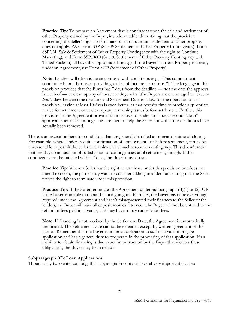**Practice Tip:** To prepare an Agreement that is contingent upon the sale and settlement of other Property owned by the Buyer, include an addendum stating that the provision concerning the Seller's right to terminate based on sale and settlement of other property does not apply. PAR Form SSP (Sale & Settlement of Other Property Contingency), Form SSPCM (Sale & Settlement of Other Property Contingency with the right to Continue Marketing), and Form SSPTKO (Sale & Settlement of Other Property Contingency with Timed Kickout) all have the appropriate language. If the Buyer's current Property is already under an Agreement, use Form SOP (Settlement of Other Property).

**Note:** Lenders will often issue an approval with conditions (e.g., "This commitment conditioned upon borrower providing copies of income tax returns."). The language in this provision provides that the Buyer has 7 days from the deadline — **not** the date the approval is received — to clean up any of these contingencies. The Buyers are encouraged to leave *at least* 7 days between the deadline and Settlement Date to allow for the operation of this provision; leaving at least 10 days is even better, as that permits time to provide appropriate notice for settlement or to clear up any remaining issues before settlement. Further, this provision in the Agreement provides an incentive to lenders to issue a second "clean" approval letter once contingencies are met, to help the Seller know that the conditions have actually been removed.

There is an exception here for conditions that are generally handled at or near the time of closing. For example, where lenders require confirmation of employment just before settlement, it may be unreasonable to permit the Seller to terminate over such a routine contingency. This doesn't mean that the Buyer can just put off satisfaction of contingencies until settlement, though. If the contingency can be satisfied within 7 days, the Buyer must do so.

**Practice Tip:** Where a Seller has the right to terminate under this provision but does not intend to do so, the parties may want to consider adding an addendum stating that the Seller waives the right to terminate under this provision.

**Practice Tip:** If the Seller terminates the Agreement under Subparagraph (B)(1) or (2), OR if the Buyer is unable to obtain financing in good faith (i.e., the Buyer has done everything required under the Agreement and hasn't misrepresented their finances to the Seller or the lender), the Buyer will have all deposit monies returned. The Buyer will not be entitled to the refund of fees paid in advance, and may have to pay cancellation fees.

**Note:** If financing is not received by the Settlement Date, the Agreement is automatically terminated. The Settlement Date cannot be extended except by written agreement of the parties. Remember that the Buyer is under an obligation to submit a valid mortgage application and has a general duty to cooperate in the processing of that application. If an inability to obtain financing is due to action or inaction by the Buyer that violates these obligations, the Buyer may be in default.

#### **Subparagraph (C): Loan Applications**

Though only two sentences long, this subparagraph contains several very important clauses: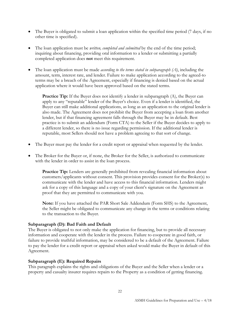- The Buyer is obligated to submit a loan application within the specified time period (7 days, if no other time is specified).
- The loan application must be *written, completed and submitted* by the end of the time period; inquiring about financing, providing oral information to a lender or submitting a partially completed application does **not** meet this requirement.
- The loan application must be made *according to the terms stated in subparagraph (A)*, including the amount, term, interest rate, and lender. Failure to make application according to the agreed-to terms may be a breach of the Agreement, especially if financing is denied based on the actual application where it would have been approved based on the stated terms.

**Practice Tip:** If the Buyer does not identify a lender in subparagraph (A), the Buyer can apply to any "reputable" lender of the Buyer's choice. Even if a lender is identified, the Buyer can still make additional applications, as long as an application to the original lender is also made. The Agreement does not prohibit the Buyer from accepting a loan from another lender, but if that financing agreement falls through the Buyer may be in default. Best practice is to submit an addendum (Form CTA) to the Seller if the Buyer decides to apply to a different lender, so there is no issue regarding permission. If the additional lender is reputable, most Sellers should not have a problem agreeing to that sort of change.

- The Buyer must pay the lender for a credit report or appraisal when requested by the lender.
- The Broker for the Buyer or, if none, the Broker for the Seller, is authorized to communicate with the lender in order to assist in the loan process.

**Practice Tip:** Lenders are generally prohibited from revealing financial information about customers/applicants without consent. This provision provides consent for the Broker(s) to communicate with the lender and have access to this financial information. Lenders might ask for a copy of this language and a copy of your client's signature on the Agreement as proof that they are permitted to communicate with you.

**Note:** If you have attached the PAR Short Sale Addendum (Form SHS) to the Agreement, the Seller might be obligated to communicate any change in the terms or conditions relating to the transaction to the Buyer.

## **Subparagraph (D): Bad Faith and Default**

The Buyer is obligated to not only make the application for financing, but to provide all necessary information and cooperate with the lender in the process. Failure to cooperate in good faith, or failure to provide truthful information, may be considered to be a default of the Agreement. Failure to pay the lender for a credit report or appraisal when asked would make the Buyer in default of this Agreement.

#### **Subparagraph (E): Required Repairs**

This paragraph explains the rights and obligations of the Buyer and the Seller when a lender or a property and casualty insurer requires repairs to the Property as a condition of getting financing.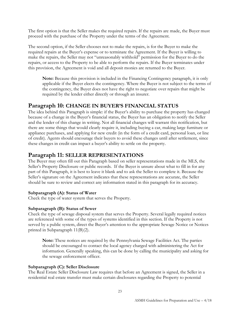The first option is that the Seller makes the required repairs. If the repairs are made, the Buyer must proceed with the purchase of the Property under the terms of the Agreement.

The second option, if the Seller chooses not to make the repairs, is for the Buyer to make the required repairs at the Buyer's expense or to terminate the Agreement. If the Buyer is willing to make the repairs, the Seller may not "unreasonably withhold" permission for the Buyer to do the repairs, or access to the Property to be able to perform the repairs. If the Buyer terminates under this provision, the Agreement is void and all deposit monies are returned to the Buyer.

**Note:** Because this provision is included in the Financing Contingency paragraph, it is only applicable if the Buyer elects the contingency. Where the Buyer is not subject to the terms of the contingency, the Buyer does not have the right to negotiate over repairs that might be required by the lender either directly or through an insurer.

# <span id="page-22-0"></span>**Paragraph 10: CHANGE IN BUYER'S FINANCIAL STATUS**

The idea behind this Paragraph is simple: if the Buyer's ability to purchase the property has changed because of a change in the Buyer's financial status, the Buyer has an obligation to notify the Seller and the lender of this change in writing. Not all financial changes will warrant this notification, but there are some things that would clearly require it, including buying a car, making large furniture or appliance purchases, and applying for new credit (in the form of a credit card, personal loan, or line of credit). Agents should encourage their buyers to avoid these changes until after settlement, since these changes in credit can impact a buyer's ability to settle on the property.

# <span id="page-22-1"></span>**Paragraph 11: SELLER REPRESENTATIONS**

The Buyer may often fill out this Paragraph based on seller representations made in the MLS, the Seller's Property Disclosure or public records. If the Buyer is unsure about what to fill in for any part of this Paragraph, it is best to leave it blank and to ask the Seller to complete it. Because the Seller's signature on the Agreement indicates that these representations are accurate, the Seller should be sure to review and correct any information stated in this paragraph for its accuracy.

## **Subparagraph (A): Status of Water**

Check the type of water system that serves the Property.

## **Subparagraph (B): Status of Sewer**

Check the type of sewage disposal system that serves the Property. Several legally required notices are referenced with some of the types of systems identified in this section. If the Property is not served by a public system, direct the Buyer's attention to the appropriate Sewage Notice or Notices printed in Subparagraph 11(B)(2).

**Note:** These notices are required by the Pennsylvania Sewage Facilities Act. The parties should be encouraged to contact the local agency charged with administering the Act for information. Generally speaking, this can be done by calling the municipality and asking for the sewage enforcement officer.

## **Subparagraph (C): Seller Disclosure**

The Real Estate Seller Disclosure Law requires that before an Agreement is signed, the Seller in a residential real estate transfer must make certain disclosures regarding the Property to potential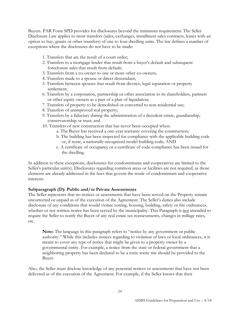Buyers. PAR Form SPD provides for disclosures beyond the minimum requirement. The Seller Disclosure Law applies to most transfers (sales, exchanges, installment sales contracts, leases with an option to buy, grants or other transfers) of one to four dwelling units. The law defines a number of exceptions where the disclosures do not have to be made:

- 1. Transfers that are the result of a court order;
- 2. Transfers to a mortgage lender that result from a buyer's default and subsequent foreclosure sales that result from default;
- 3. Transfers from a co-owner to one or more other co-owners;
- 4. Transfers made to a spouse or direct descendant;
- 5. Transfers between spouses that result from divorce, legal separation or property settlement;
- 6. Transfers by a corporation, partnership or other association to its shareholders, partners or other equity owners as a part of a plan of liquidation;
- 7. Transfers of property to be demolished or converted to non-residential use;
- 8. Transfers of unimproved real property;
- 9. Transfers by a fiduciary during the administration of a decedent estate, guardianship, conservatorship or trust; and
- 10. Transfers of new construction that has never been occupied when:
	- a. The Buyer has received a one-year warranty covering the construction;
	- b. The building has been inspected for compliance with the applicable building code or, if none, a nationally-recognized model building code; AND
	- c. A certificate of occupancy or a certificate of code compliance has been issued for the dwelling.

In addition to these exceptions, disclosures for condominiums and cooperatives are limited to the Seller's particular unit(s). Disclosures regarding common areas or facilities are not required, as those elements are already addressed in the laws that govern the resale of condominium and cooperative interests.

## **Subparagraph (D): Public and/or Private Assessments**

The Seller represents that no notices or assessments that have been served on the Property remain uncorrected or unpaid as of the execution of the Agreement. The Seller's duties also include disclosure of any conditions that would violate zoning, housing, building, safety or fire ordinances, whether or not written notice has been served by the municipality. This Paragraph is not intended to require the Seller to notify the Buyer of any real estate tax reassessments, changes in millage rates, etc.

**Note:** The language in this paragraph refers to "notice by any government or public authority." While this includes notices regarding to violation of laws or local ordinances, it is meant to cover any type of notice that might be given to a property owner by a governmental entity. For example, a notice from the state or federal government that a neighboring property has been declared to be a toxic waste site should be provided to the Buyer.

Also, the Seller must disclose knowledge of any potential notices or assessments that have not been delivered as of the execution of the Agreement. For example, if the Seller knows that their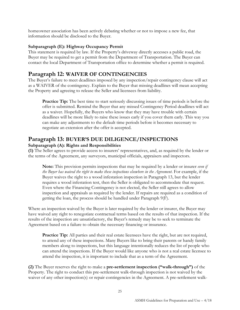homeowner association has been actively debating whether or not to impose a new fee, that information should be disclosed to the Buyer.

## **Subparagraph (E): Highway Occupancy Permit**

This statement is required by law. If the Property's driveway directly accesses a public road, the Buyer may be required to get a permit from the Department of Transportation. The Buyer can contact the local Department of Transportation office to determine whether a permit is required.

# <span id="page-24-0"></span>**Paragraph 12: WAIVER OF CONTINGENCIES**

The Buyer's failure to meet deadlines imposed by any inspection/repair contingency clause will act as a WAIVER of the contingency. Explain to the Buyer that missing deadlines will mean accepting the Property and agreeing to release the Seller and licensees from liability.

**Practice Tip:** The best time to start seriously discussing issues of time periods is before the offer is submitted. Remind the Buyer that any missed Contingency Period deadlines will act as a waiver. Hopefully, the Buyers who know that they may have trouble with certain deadlines will be more likely to raise these issues early if you cover them early. This way you can make any adjustments to the default time periods before it becomes necessary to negotiate an extension after the offer is accepted.

# <span id="page-24-1"></span>**Paragraph 13: BUYER'S DUE DILIGENCE/INSPECTIONS**

## **Subparagraph (A): Rights and Responsibilities**

**(1)** The Seller agrees to provide access to insurers' representatives, and, as required by the lender or the terms of the Agreement, any surveyors, municipal officials, appraisers and inspectors.

**Note:** This provision permits inspections that may be required by a lender or insurer *even if the Buyer has waived the right to make these inspections elsewhere in the Agreement*. For example, if the Buyer waives the right to a wood infestation inspection in Paragraph 13, but the lender requires a wood infestation test, then the Seller is obligated to accommodate that request. Even where the Financing Contingency is not elected, the Seller still agrees to allow inspection and appraisals as required by the lender. If repairs are required as a condition of getting the loan, the process should be handled under Paragraph 9(F).

Where an inspection waived by the Buyer is later required by the lender or insurer, the Buyer may have waived any right to renegotiate contractual terms based on the results of that inspection. If the results of the inspection are unsatisfactory, the Buyer's remedy may be to seek to terminate the Agreement based on a failure to obtain the necessary financing or insurance.

**Practice Tip:** All parties and their real estate licensees have the right, but are not required, to attend any of these inspections. Many Buyers like to bring their parents or handy family members along to inspections, but this language intentionally reduces the list of people who can attend the inspections. If the Buyer would like anyone who is not a real estate licensee to attend the inspection, it is important to include that as a term of the Agreement.

**(2)** The Buyer reserves the right to make a **pre-settlement inspection ("walk-through")** of the Property. The right to conduct this pre-settlement walk-through inspection is not waived by the waiver of any other inspection(s) or repair contingencies in the Agreement. A pre-settlement walk-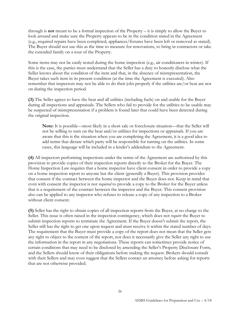through is **not** meant to be a formal inspection of the Property – it is simply to allow the Buyer to look around and make sure the Property appears to be in the condition stated in the Agreement (e.g., required repairs have been completed, appliances/fixtures have been left or removed as stated). The Buyer should not use this as the time to measure for renovations, to bring in contractors or take the extended family on a tour of the Property.

Some items may not be easily tested during the home inspection (e.g., air conditioners in winter). If this is the case, the parties must understand that the Seller has a duty to honestly disclose what the Seller knows about the condition of the item and that, in the absence of misrepresentation, the Buyer takes such item in its present condition (at the time the Agreement is executed). Also remember that inspectors may not be able to do their jobs properly if the utilities are/or heat are not on during the inspection period.

**(3)** The Seller agrees to have the heat and all utilities (including fuels) on and usable for the Buyer during all inspections and appraisals. The Sellers who fail to provide for the utilities to be usable may be suspected of misrepresentation if a problem is found later that could have been detected during the original inspection.

**Note:** It is possible—most likely in a short sale or foreclosure situation—that the Seller will not be willing to turn on the heat and/or utilities for inspections or appraisals. If you are aware that this is the situation when you are completing the Agreement, it is a good idea to add terms that dictate which party will be responsible for turning on the utilities. In some cases, this language will be included in a lender's addendum to the Agreement.

**(4)** All inspectors performing inspections under the terms of the Agreement are authorized by this provision to provide copies of their inspection reports directly to the Broker for the Buyer. The Home Inspection Law requires that a home inspector have client consent in order to provide a copy on a home inspection report to anyone but the client (generally a Buyer). This provision provides that consent if the contract between the home inspector and the Buyer does not. Keep in mind that even with consent the inspector is not *required* to provide a copy to the Broker for the Buyer unless that is a requirement of the contract between the inspector and the Buyer. This consent provision also can be applied to any inspector who refuses to release a copy of any inspection to a Broker without client consent.

**(5)** Seller has the right to obtain copies of all inspection reports from the Buyer, at no charge to the Seller. This issue is often raised in the inspection contingency, which does not *require* the Buyer to submit inspection reports to terminate the Agreement. If the Buyer doesn't submit the report, the Seller still has the right to get one upon request and must receive it within the stated number of days. The requirement that the Buyer must provide a copy of the report does not mean that the Seller gets any right to object to the content of the report, nor does it necessarily give the Seller any right to use the information in the report in any negotiations. These reports can sometimes provide notice of certain conditions that may need to be disclosed by amending the Seller's Property Disclosure Form, and the Sellers should know of their obligations before making the request. Brokers should consult with their Sellers and may even suggest that the Sellers contact an attorney before asking for reports that are not otherwise provided.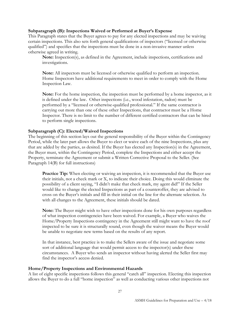#### **Subparagraph (B): Inspections Waived or Performed at Buyer's Expense**

This Paragraph states that the Buyer agrees to pay for any elected inspections and may be waiving certain inspections. This also sets forth general qualifications of inspectors ("licensed or otherwise qualified") and specifies that the inspections must be done in a non-invasive manner unless otherwise agreed in writing.

**Note:** Inspection(s), as defined in the Agreement, include inspections, certifications and investigations.

**Note:** All inspectors must be licensed or otherwise qualified to perform an inspection. Home Inspectors have additional requirements to meet in order to comply with the Home Inspection Law.

**Note:** For the home inspection, the inspection must be performed by a home inspector, as it is defined under the law. Other inspections (i.e., wood infestation, radon) must be performed by a "licensed or otherwise-qualified professional." If the same contractor is carrying out more than one of these other Inspections, that contractor must be a Home Inspector. There is no limit to the number of different certified contractors that can be hired to perform single inspections.

## **Subparagraph (C): Elected/Waived Inspections**

The beginning of this section lays out the general responsibility of the Buyer within the Contingency Period, while the later part allows the Buyer to elect or waive each of the nine Inspections, plus any that are added by the parties, as desired. If the Buyer has elected any Inspection(s) in the Agreement, the Buyer must, within the Contingency Period, complete the Inspections and either accept the Property, terminate the Agreement or submit a Written Corrective Proposal to the Seller. (See Paragraph 14(B) for full instructions)

**Practice Tip:** When electing or waiving an inspection, it is recommended that the Buyer use their initials, not a check mark or X, to indicate their choice. Doing this would eliminate the possibility of a client saying, "I didn't make that check mark, my agent did!" If the Seller would like to change the elected Inspections as part of a counteroffer, they are advised to cross on the Buyer's initials and fill in their initial on the line for the alternate selection. As with all changes to the Agreement, these initials should be dated.

**Note:** The Buyer might wish to have other inspections done for his own purposes regardless of what inspection contingencies have been waived. For example, a Buyer who waives the Home/Property Inspections contingency in the Agreement still might want to have the roof inspected to be sure it is structurally sound, even though the waiver means the Buyer would be unable to negotiate new terms based on the results of any report.

In that instance, best practice is to make the Sellers aware of the issue and negotiate some sort of additional language that would permit access to the inspector(s) under these circumstances. A Buyer who sends an inspector without having alerted the Seller first may find the inspector's access denied.

#### **Home/Property Inspections and Environmental Hazards**

A list of eight specific inspections follows this general "catch all" inspection. Electing this inspection allows the Buyer to do a full "home inspection" as well as conducting various other inspections not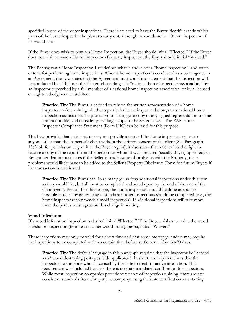specified in one of the other inspections. There is no need to have the Buyer identify exactly which parts of the home inspection he plans to carry out, although he can do so in "Other" inspection if he would like.

If the Buyer does wish to obtain a Home Inspection, the Buyer should initial "Elected." If the Buyer does not wish to have a Home Inspection/Property inspection, the Buyer should initial "Waived."

The Pennsylvania Home Inspection Law defines what is and is not a "home inspection," and states criteria for performing home inspections. When a home inspection is conducted as a contingency in an Agreement, the Law states that the Agreement must contain a statement that the inspection will be conducted by a "full member" in good standing of a "national home inspection association," by an inspector supervised by a full member of a national home inspection association, or by a licensed or registered engineer or architect.

**Practice Tip:** The Buyer is entitled to rely on the written representation of a home inspector in determining whether a particular home inspector belongs to a national home inspection association. To protect your client, get a copy of any signed representation for the transaction file, and consider providing a copy to the Seller as well. The PAR Home Inspector Compliance Statement (Form HIC) can be used for this purpose.

The Law provides that an inspector may not provide a copy of the home inspection report to anyone other than the inspector's client without the written consent of the client (See Paragraph 13(A)(4) for permission to give it to the Buyer Agent); it also states that a Seller has the right to receive a copy of the report from the person for whom it was prepared (usually Buyer) upon request. Remember that in most cases if the Seller is made aware of problems with the Property, these problems would likely have to be added to the Seller's Property Disclosure Form for future Buyers if the transaction is terminated.

**Practice Tip:** The Buyer can do as many (or as few) additional inspections under this item as they would like, but all must be completed and acted upon by the end of the end of the Contingency Period. For this reason, the home inspection should be done as soon as possible in case any issues arise that indicate other inspections should be completed (e.g., the home inspector recommends a mold inspection). If additional inspections will take more time, the parties must agree on this change in writing.

#### **Wood Infestation**

If a wood infestation inspection is desired, initial "Elected." If the Buyer wishes to waive the wood infestation inspection (termite and other wood-boring pests), initial "Waived."

These inspections may only be valid for a short time and that some mortgage lenders may require the inspections to be completed within a certain time before settlement, often 30-90 days.

**Practice Tip:** The default language in this paragraph requires that the inspector be licensed as a "wood destroying pests pesticide applicator." In short, the requirement is that the inspector be someone who is licensed by the state to treat for active infestation. This requirement was included because there is no state-mandated certification for inspectors. While most inspection companies provide some sort of inspection training, there are not consistent standards from company to company; using the state certification as a starting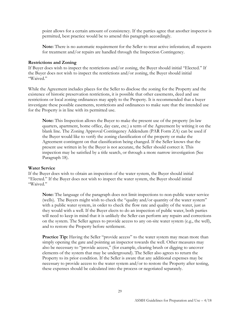point allows for a certain amount of consistency. If the parties agree that another inspector is permitted, best practice would be to amend this paragraph accordingly.

**Note:** There is no automatic requirement for the Seller to treat active infestation; all requests for treatment and/or repairs are handled through the Inspection Contingency.

#### **Restrictions and Zoning**

If Buyer does wish to inspect the restrictions and/or zoning, the Buyer should initial "Elected." If the Buyer does not wish to inspect the restrictions and/or zoning, the Buyer should initial "Waived."

While the Agreement includes places for the Seller to disclose the zoning for the Property and the existence of historic preservation restrictions, it is possible that other easements, deed and use restrictions or local zoning ordinances may apply to the Property. It is recommended that a buyer investigate these possible easements, restrictions and ordinances to make sure that the intended use for the Property is in line with its permitted use.

**Note:** This Inspection allows the Buyer to make the present use of the property (in-law quarters, apartment, home office, day care, etc.) a term of the Agreement by writing it on the blank line. The Zoning Approval Contingency Addendum (PAR Form ZA) can be used if the Buyer would like to verify the zoning classification of the property or make the Agreement contingent on that classification being changed. If the Seller knows that the present use written in by the Buyer is not accurate, the Seller should correct it. This inspection may be satisfied by a title search, or through a more narrow investigation (See Paragraph 18).

#### **Water Service**

If the Buyer does wish to obtain an inspection of the water system, the Buyer should initial "Elected." If the Buyer does not wish to inspect the water system, the Buyer should initial "Waived."

**Note:** The language of the paragraph does not limit inspections to non-public water service (wells). The Buyers might wish to check the "quality and/or quantity of the water system" with a public water system, in order to check the flow rate and quality of the water, just as they would with a well. If the Buyer elects to do an inspection of public water, both parties will need to keep in mind that it is unlikely the Seller can perform any repairs and corrections on the system. The Seller agrees to provide access to any on-site water system (e.g., the well), and to restore the Property before settlement.

**Practice Tip:** Having the Seller "provide access" to the water system may mean more than simply opening the gate and pointing an inspector towards the well. Other measures may also be necessary to "provide access," (for example, clearing brush or digging to uncover elements of the system that may be underground). The Seller also agrees to return the Property to its prior condition. If the Seller is aware that any additional expenses may be necessary to provide access to the water system and/or to restore the Property after testing, these expenses should be calculated into the process or negotiated separately.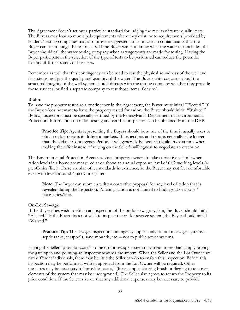The Agreement doesn't set out a particular standard for judging the results of water quality tests. The Buyers may look to municipal requirements where they exist, or to requirements provided by lenders. Testing companies may also provide suggested limits on certain contaminants that the Buyer can use to judge the test results. If the Buyer wants to know what the water test includes, the Buyer should call the water testing company when arrangements are made for testing. Having the Buyer participate in the selection of the type of tests to be performed can reduce the potential liability of Brokers and/or licensees.

Remember as well that this contingency can be used to test the physical soundness of the well and its systems, not just the quality and quantity of the water. The Buyers with concerns about the structural integrity of the well system should discuss with the testing company whether they provide those services, or find a separate company to test those items if desired.

#### **Radon**

To have the property tested as a contingency in the Agreement, the Buyer must initial "Elected." If the Buyer does not want to have the property tested for radon, the Buyer should initial "Waived." By law, inspectors must be specially certified by the Pennsylvania Department of Environmental Protection. Information on radon testing and certified inspectors can be obtained from the DEP.

**Practice Tip:** Agents representing the Buyers should be aware of the time it usually takes to obtain radon reports in different markets. If inspections and reports generally take longer than the default Contingency Period, it will generally be better to build in extra time when making the offer instead of relying on the Seller's willingness to negotiate an extension.

The Environmental Protection Agency advises property owners to take corrective actions when radon levels in a home are measured at or above an annual exposure level of 0.02 working levels (4 picoCuries/liter). There are also other standards in existence, so the Buyer may not feel comfortable even with levels around 4 picoCuries/liter.

**Note:** The Buyer can submit a written corrective proposal for any level of radon that is revealed during the inspection. Potential action is not limited to findings at or above 4 picoCuries/liter.

#### **On-Lot Sewage**

If the Buyer does wish to obtain an inspection of the on-lot sewage system, the Buyer should initial "Elected." If the Buyer does not wish to inspect the on-lot sewage system, the Buyer should initial "Waived."

**Practice Tip:** The sewage inspection contingency applies only to on-lot sewage systems – septic tanks, cesspools, sand mounds, etc. – not to public sewer systems.

Having the Seller "provide access" to the on-lot sewage system may mean more than simply leaving the gate open and pointing an inspector towards the system. When the Seller and the Lot Owner are two different individuals, there may be little the Seller can do to enable this inspection. Before this inspection may be performed, written approval from the Lot Owner will be required. Other measures may be necessary to "provide access," (for example, clearing brush or digging to uncover elements of the system that may be underground). The Seller also agrees to return the Property to its prior condition. If the Seller is aware that any additional expenses may be necessary to provide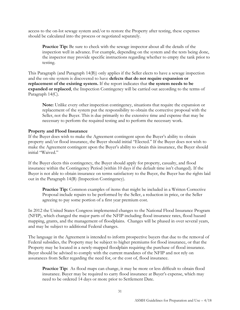access to the on-lot sewage system and/or to restore the Property after testing, these expenses should be calculated into the process or negotiated separately.

**Practice Tip:** Be sure to check with the sewage inspector about all the details of the inspection well in advance. For example, depending on the system and the tests being done, the inspector may provide specific instructions regarding whether to empty the tank prior to testing.

This Paragraph (and Paragraph 14(B)) only applies if the Seller elects to have a sewage inspection and the on-site system is discovered to have **defects that do not require expansion or replacement of the existing system.** If the report indicates that **the system needs to be expanded or replaced**, the Inspection Contingency will be carried out according to the terms of Paragraph 14(C).

**Note:** Unlike every other inspection contingency, situations that require the expansion or replacement of the system put the responsibility to obtain the corrective proposal with the Seller, not the Buyer. This is due primarily to the extensive time and expense that may be necessary to perform the required testing and to perform the necessary work.

#### **Property and Flood Insurance**

If the Buyer does wish to make the Agreement contingent upon the Buyer's ability to obtain property and/or flood insurance, the Buyer should initial "Elected." If the Buyer does not wish to make the Agreement contingent upon the Buyer's ability to obtain this insurance, the Buyer should initial "Waived."

If the Buyer elects this contingency, the Buyer should apply for property, casualty, and flood insurance within the Contingency Period (within 10 days if the default time isn't changed). If the Buyer is not able to obtain insurance on terms satisfactory to the Buyer, the Buyer has the rights laid out in the Paragraph 14(B) (Inspection Contingency).

**Practice Tip:** Common examples of items that might be included in a Written Corrective Proposal include repairs to be performed by the Seller, a reduction in price, or the Seller agreeing to pay some portion of a first year premium cost.

In 2012 the United States Congress implemented changes to the National Flood Insurance Program (NFIP), which changed the major parts of the NFIP including flood insurance rates, flood hazard mapping, grants, and the management of floodplains. Changes will be phased in over several years, and may be subject to additional Federal changes.

The language in the Agreement is intended to inform prospective buyers that due to the removal of Federal subsidies, the Property may be subject to higher premiums for flood insurance, or that the Property may be located in a newly-mapped floodplain requiring the purchase of flood insurance. Buyer should be advised to comply with the current mandates of the NFIP and not rely on assurances from Seller regarding the need for, or the cost of, flood insurance.

**Practice Tip:** As flood maps can change, it may be more or less difficult to obtain flood insurance. Buyer may be required to carry flood insurance at Buyer's expense, which may need to be ordered 14 days or more prior to Settlement Date.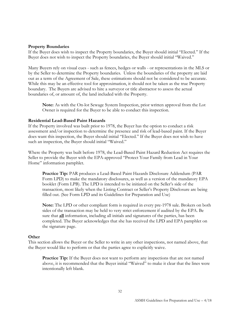#### **Property Boundaries**

If the Buyer does wish to inspect the Property boundaries, the Buyer should initial "Elected." If the Buyer does not wish to inspect the Property boundaries, the Buyer should initial "Waived."

Many Buyers rely on visual cues - such as fences, hedges or walls - or representations in the MLS or by the Seller to determine the Property boundaries. Unless the boundaries of the property are laid out as a term of the Agreement of Sale, these estimations should not be considered to be accurate. While this may be an effective tool for approximation, it should not be taken as the true Property boundary. The Buyers are advised to hire a surveyor or title abstractor to assess the actual boundaries of, or amount of, the land included with the Property.

**Note:** As with the On-lot Sewage System Inspection, prior written approval from the Lot Owner is required for the Buyer to be able to conduct this inspection.

#### **Residential Lead-Based Paint Hazards**

If the Property involved was built prior to 1978, the Buyer has the option to conduct a risk assessment and/or inspection to determine the presence and risk of lead-based paint. If the Buyer does want this inspection, the Buyer should initial "Elected." If the Buyer does not wish to have such an inspection, the Buyer should initial "Waived."

Where the Property was built before 1978, the Lead-Based Paint Hazard Reduction Act requires the Seller to provide the Buyer with the EPA-approved "Protect Your Family from Lead in Your Home" information pamphlet.

**Practice Tip:** PAR produces a Lead-Based Paint Hazards Disclosure Addendum (PAR Form LPD) to make the mandatory disclosures, as well as a version of the mandatory EPA booklet (Form LPB). The LPD is intended to be initiated on the Seller's side of the transaction, most likely when the Listing Contract or Seller's Property Disclosure are being filled out. (See Form LPD and its Guidelines for Preparation and Use)

**Note:** The LPD or other compliant form is required in every pre-1978 sale. Brokers on both sides of the transaction may be held to very strict enforcement if audited by the EPA. Be sure that **all** information, including all initials and signatures of the parties, has been completed. The Buyer acknowledges that she has received the LPD and EPA pamphlet on the signature page.

#### **Other**

This section allows the Buyer or the Seller to write in any other inspections, not named above, that the Buyer would like to perform or that the parties agree to explicitly waive.

**Practice Tip:** If the Buyer does not want to perform any inspections that are not named above, it is recommended that the Buyer initial "Waived" to make it clear that the lines were intentionally left blank.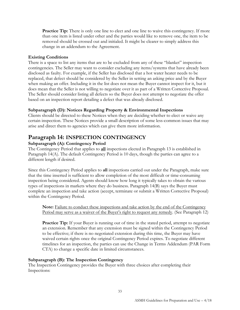**Practice Tip:** There is only one line to elect and one line to waive this contingency. If more than one item is listed under other and the parties would like to remove one, the item to be removed should be crossed out and initialed. It might be clearer to simply address this change in an addendum to the Agreement.

## **Existing Conditions**

There is a space to list any items that are to be excluded from any of these "blanket" inspection contingencies. The Seller may want to consider excluding any items/systems that have already been disclosed as faulty. For example, if the Seller has disclosed that a hot water heater needs to be replaced, that defect should be considered by the Seller in setting an asking price and by the Buyer when making an offer. Including it in the list does not mean the Buyer cannot inspect for it, but it does mean that the Seller is not willing to negotiate over it as part of a Written Corrective Proposal. The Seller should consider listing all defects so the Buyer does not attempt to negotiate the offer based on an inspection report detailing a defect that was already disclosed.

## **Subparagraph (D): Notices Regarding Property & Environmental Inspections**

Clients should be directed to these Notices when they are deciding whether to elect or waive any certain inspection. These Notices provide a small description of some less-common issues that may arise and direct them to agencies which can give them more information.

# <span id="page-32-0"></span>**Paragraph 14: INSPECTION CONTINGENCY**

## **Subparagraph (A): Contingency Period**

The Contingency Period that applies to **all** inspections elected in Paragraph 13 is established in Paragraph 14(A). The default Contingency Period is 10 days, though the parties can agree to a different length if desired.

Since this Contingency Period applies to **all** inspections carried out under the Paragraph, make sure that the time inserted is sufficient to allow completion of the most difficult or time-consuming inspection being considered. Agents should know how long it typically takes to obtain the various types of inspections in markets where they do business. Paragraph 14(B) says the Buyer must complete an inspection and take action (accept, terminate or submit a Written Corrective Proposal) within the Contingency Period.

**Note:** Failure to conduct these inspections and take action by the end of the Contingency Period may serve as a waiver of the Buyer's right to request any remedy. (See Paragraph 12)

**Practice Tip:** If your Buyer is running out of time in the stated period, attempt to negotiate an extension. Remember that any extension must be signed within the Contingency Period to be effective; if there is no negotiated extension during this time, the Buyer may have waived certain rights once the original Contingency Period expires. To negotiate different timelines for an inspection, the parties can use the Change in Terms Addendum (PAR Form CTA) to change a specific date in limited circumstances.

## **Subparagraph (B): The Inspection Contingency**

The Inspection Contingency provides the Buyer with three choices after completing their Inspections: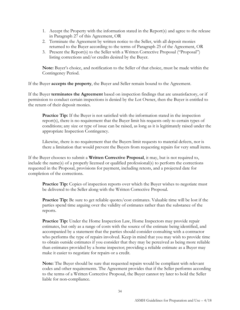- 1. Accept the Property with the information stated in the Report(s) and agree to the release in Paragraph 27 of this Agreement, OR
- 2. Terminate the Agreement by written notice to the Seller, with all deposit monies returned to the Buyer according to the terms of Paragraph 25 of the Agreement, OR
- 3. Present the Report(s) to the Seller with a Written Corrective Proposal ("Proposal") listing corrections and/or credits desired by the Buyer.

**Note:** Buyer's choice, and notification to the Seller of that choice, must be made within the Contingency Period.

If the Buyer **accepts the property**, the Buyer and Seller remain bound to the Agreement.

If the Buyer **terminates the Agreement** based on inspection findings that are unsatisfactory, or if permission to conduct certain inspections is denied by the Lot Owner, then the Buyer is entitled to the return of their deposit monies.

**Practice Tip:** If the Buyer is not satisfied with the information stated in the inspection report(s), there is no requirement that the Buyer limit his requests only to certain types of conditions; any size or type of issue can be raised, as long as it is legitimately raised under the appropriate Inspection Contingency.

Likewise, there is no requirement that the Buyers limit requests to material defects, nor is there a limitation that would prevent the Buyers from requesting repairs for very small items.

If the Buyer chooses to submit a **Written Corrective Proposal**, it may, but is not required to, include the name(s) of a properly licensed or qualified professional(s) to perform the corrections requested in the Proposal, provisions for payment, including retests, and a projected date for completion of the corrections.

**Practice Tip:** Copies of inspection reports over which the Buyer wishes to negotiate must be delivered to the Seller along with the Written Corrective Proposal.

**Practice Tip:** Be sure to get reliable quotes/cost estimates. Valuable time will be lost if the parties spend time arguing over the validity of estimates rather than the substance of the reports.

**Practice Tip:** Under the Home Inspection Law, Home Inspectors may provide repair estimates, but only as a range of costs with the source of the estimate being identified, and accompanied by a statement that the parties should consider consulting with a contractor who performs the type of repairs involved. Keep in mind that you may wish to provide time to obtain outside estimates if you consider that they may be perceived as being more reliable than estimates provided by a home inspector; providing a reliable estimate as a Buyer may make it easier to negotiate for repairs or a credit.

**Note:** The Buyer should be sure that requested repairs would be compliant with relevant codes and other requirements. The Agreement provides that if the Seller performs according to the terms of a Written Corrective Proposal, the Buyer cannot try later to hold the Seller liable for non-compliance.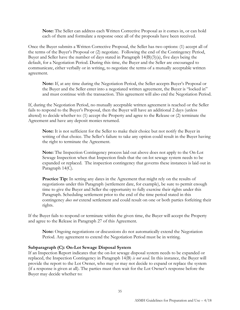**Note:** The Seller can address each Written Corrective Proposal as it comes in, or can hold each of them and formulate a response once all of the proposals have been received.

Once the Buyer submits a Written Corrective Proposal, the Seller has two options: (1) accept all of the terms of the Buyer's Proposal or (2) negotiate. Following the end of the Contingency Period, Buyer and Seller have the number of days stated in Paragraph 14(B)(3)(a), five days being the default, for a Negotiation Period. During this time, the Buyer and the Seller are encouraged to communicate, either verbally or in writing, to negotiate the terms of a mutually acceptable written agreement.

**Note:** If, at any time during the Negotiation Period, the Seller accepts Buyer's Proposal or the Buyer and the Seller enter into a negotiated written agreement, the Buyer is "locked in" and must continue with the transaction. This agreement will also end the Negotiation Period.

If, during the Negotiation Period, no mutually acceptable written agreement is reached or the Seller fails to respond to the Buyer's Proposal, then the Buyer will have an additional 2 days (unless altered) to decide whether to: (1) accept the Property and agree to the Release or (2) terminate the Agreement and have any deposit monies returned.

**Note:** It is not sufficient for the Seller to make their choice but not notify the Buyer in writing of that choice. The Seller's failure to take any option could result in the Buyer having the right to terminate the Agreement.

**Note:** The Inspection Contingency process laid out above does not apply to the On-Lot Sewage Inspection when that Inspection finds that the on-lot sewage system needs to be expanded or replaced. The inspection contingency that governs these instances is laid out in Paragraph 14(C).

**Practice Tip:** In setting any dates in the Agreement that might rely on the results of negotiations under this Paragraph (settlement date, for example), be sure to permit enough time to give the Buyer and Seller the opportunity to fully exercise their rights under this Paragraph. Scheduling settlement prior to the end of the time period stated in this contingency *does not* extend settlement and could result on one or both parties forfeiting their rights.

If the Buyer fails to respond or terminate within the given time, the Buyer will accept the Property and agree to the Release in Paragraph 27 of this Agreement.

**Note:** Ongoing negotiations or discussions do not automatically extend the Negotiation Period. Any agreement to extend the Negotiation Period must be in writing.

#### **Subparagraph (C): On-Lot Sewage Disposal System**

If an Inspection Report indicates that the on-lot sewage disposal system needs to be expanded or replaced, the Inspection Contingency in Paragraph 14(B) *is not used*. In this instance, the Buyer will provide the report to the Lot Owner, who may or may not decide to expand or replace the system (if a response is given at all). The parties must then wait for the Lot Owner's response before the Buyer may decide whether to: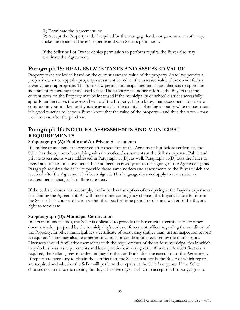(1) Terminate the Agreement; or

(2) Accept the Property and, if required by the mortgage lender or government authority, make the repairs at Buyer's expense and with Seller's permission.

If the Seller or Lot Owner denies permission to perform repairs, the Buyer also may terminate the Agreement.

# <span id="page-35-0"></span>**Paragraph 15: REAL ESTATE TAXES AND ASSESSED VALUE**

Property taxes are levied based on the current assessed value of the property. State law permits a property owner to appeal a property assessment to reduce the assessed value if the owner feels a lower value is appropriate. That same law permits municipalities and school districts to appeal an assessment to increase the assessed value. The property tax notice informs the Buyers that the current taxes on the Property may be increased if the municipality or school district successfully appeals and increases the assessed value of the Property. If you know that assessment appeals are common in your market, or if you are aware that the county is planning a county-wide reassessment, it is good practice to let your Buyer know that the value of the property – and thus the taxes – may well increase after the purchase.

# <span id="page-35-1"></span>**Paragraph 16: NOTICES, ASSESSMENTS AND MUNICIPAL REQUIREMENTS**

## **Subparagraph (A): Public and/or Private Assessments**

If a notice or assessment is received after execution of the Agreement but before settlement, the Seller has the option of complying with the notices/assessments at the Seller's expense. Public and private assessments were addressed in Paragraph 11(D), as well. Paragraph 11(D) asks the Seller to reveal any notices or assessments that had been received prior to the signing of the Agreement; this Paragraph requires the Seller to provide those same notices and assessments to the Buyer which are received after the Agreement has been signed. This language does not apply to real estate tax reassessments, changes in millage rates, etc.

If the Seller chooses not to comply, the Buyer has the option of complying at the Buyer's expense or terminating the Agreement. As with most other contingency choices, the Buyer's failure to inform the Seller of his course of action within the specified time period results in a waiver of the Buyer's right to terminate.

#### **Subparagraph (B): Municipal Certification**

In certain municipalities, the Seller is obligated to provide the Buyer with a certification or other documentation prepared by the municipality's codes enforcement officer regarding the condition of the Property. In other municipalities a certificate of occupancy (rather than just an inspection report) is required. There may also be other notifications or certifications required by the municipality. Licensees should familiarize themselves with the requirements of the various municipalities in which they do business, as requirements and local practice can vary greatly. Where such a certification is required, the Seller agrees to order and pay for the certificate after the execution of the Agreement. If repairs are necessary to obtain the certification, the Seller must notify the Buyer of which repairs are required and whether the Seller will perform the repairs at the Seller's expense. If the Seller chooses not to make the repairs, the Buyer has five days in which to accept the Property; agree to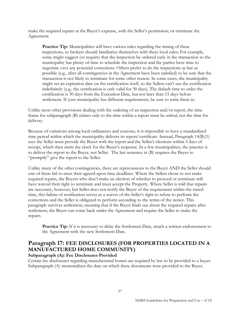make the required repairs at the Buyer's expense, with the Seller's permission; or terminate the Agreement.

**Practice Tip:** Municipalities will have various rules regarding the timing of these inspections, so brokers should familiarize themselves with these local rules. For example, some might suggest (or require) that the inspection be ordered early in the transaction so the municipality has plenty of time to schedule the inspection and the parties have time to negotiate over any potential corrections. Others prefer to do the inspections as late as possible (e.g., after all contingencies in the Agreement have been satisfied) to be sure that the transaction is not likely to terminate for some other reason. In some cases, the municipality might set an expiration date on the certification itself, so the Sellers can't use the certification indefinitely (e.g., the certification is only valid for 30 days). The default time to order the certification is 30 days from the Execution Date, but not later than 15 days before settlement. If your municipality has different requirements, be sure to write them in.

Unlike most other provisions dealing with the ordering of an inspection and/or report, the time frame for subparagraph (B) relates only to the time within a report must be *ordered*, not the time for delivery.

Because of variations among local ordinances and customs, it is impossible to have a standardized time period within which the municipality delivers its report/certificate. Instead, Paragraph 14(B)(1) says the Seller must provide the Buyer with the report and the Seller's elections within 5 days of receipt, which then starts the clock for the Buyer's response. In a few municipalities, the practice is to deliver the report to the Buyer, not Seller. The last sentence in (B) requires the Buyer to "promptly" give the report to the Seller.

Unlike many of the other contingencies, there are repercussions to the Buyer AND the Seller should one of them fail to meet their agreed-upon time deadlines. Where the Sellers chose to not make required repairs, the Buyers who don't make an election of whether to proceed or terminate will have waived their right to terminate and must accept the Property. Where Seller is told that repairs are necessary, however, but Seller does not notify the Buyer of the requirement within the stated time, this failure of notification serves as a waiver of the Seller's right to refuse to perform the corrections and the Seller is obligated to perform according to the terms of the notice. This paragraph survives settlement, meaning that if the Buyer finds out about the required repairs after settlement, the Buyer can come back under the Agreement and require the Seller to make the repairs.

**Practice Tip:** If it is necessary to delay the Settlement Date, attach a written endorsement to the Agreement with the new Settlement Date.

# <span id="page-36-0"></span>**Paragraph 17: FEE DISCLOSURES (FOR PROPERTIES LOCATED IN A MANUFACTURED HOME COMMUNITY)**

## **Subparagraph (A): Fee Disclosures Provided**

Certain fee disclosures regarding manufactured homes are required by law to be provided to a buyer. Subparagraph (A) memorializes the date on which these documents were provided to the Buyer.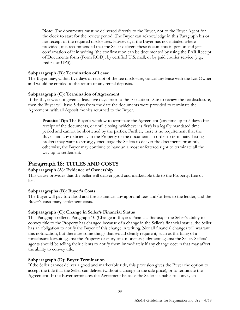**Note:** The documents must be delivered directly to the Buyer, not to the Buyer Agent for the clock to start for the review period. The Buyer can acknowledge in this Paragraph his or her receipt of the required disclosures. However, if the Buyer has not initialed where provided, tt is recommended that the Seller delivers these documents in person and gets confirmation of it in writing (the confirmation can be documented by using the PAR Receipt of Documents form (Form ROD), by certified U.S. mail, or by paid courier service (e.g., FedEx or UPS).

#### **Subparagraph (B): Termination of Lease**

The Buyer may, within five days of receipt of the fee disclosure, cancel any lease with the Lot Owner and would be entitled to the return of any rental deposits.

#### **Subparagraph (C): Termination of Agreement**

If the Buyer was not given at least five days prior to the Execution Date to review the fee disclosure, then the Buyer will have 5 days from the date the documents were provided to terminate the Agreement, with all deposit monies returned to the Buyer.

**Practice Tip:** The Buyer's window to terminate the Agreement (any time up to 5 days after receipt of the documents, or until closing, whichever is first) is a legally mandated time period and cannot be shortened by the parties. Further, there is no requirement that the Buyer find any deficiency in the Property or the documents in order to terminate. Listing brokers may want to strongly encourage the Sellers to deliver the documents promptly; otherwise, the Buyer may continue to have an almost unfettered right to terminate all the way up to settlement.

# <span id="page-37-0"></span>**Paragraph 18: TITLES AND COSTS**

## **Subparagraph (A): Evidence of Ownership**

This clause provides that the Seller will deliver good and marketable title to the Property, free of liens.

## **Subparagraphs (B): Buyer's Costs**

The Buyer will pay for: flood and fire insurance, any appraisal fees and/or fees to the lender, and the Buyer's customary settlement costs.

## **Subparagraph (C): Change in Seller's Financial Status**

This Paragraph reflects Paragraph 10 (Change in Buyer's Financial Status); if the Seller's ability to convey title to the Property has changed because of a change in the Seller's financial status, the Seller has an obligation to notify the Buyer of this change in writing. Not all financial changes will warrant this notification, but there are some things that would clearly require it, such as the filing of a foreclosure lawsuit against the Property or entry of a monetary judgment against the Seller. Sellers' agents should be telling their clients to notify them immediately if any change occurs that may affect the ability to convey title.

## **Subparagraph (D): Buyer Termination**

If the Seller cannot deliver a good and marketable title, this provision gives the Buyer the option to accept the title that the Seller can deliver (without a change in the sale price), or to terminate the Agreement. If the Buyer terminates the Agreement because the Seller is unable to convey an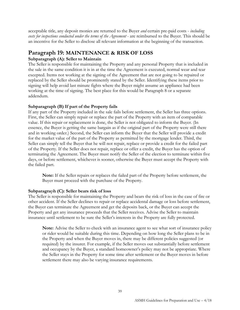acceptable title, any deposit monies are returned to the Buyer *and* certain pre-paid costs - *including costs for inspections conducted under the terms of the Agreement* - are reimbursed to the Buyer. This should be an incentive for the Seller to disclose all relevant information at the beginning of the transaction.

# <span id="page-38-0"></span>**Paragraph 19: MAINTENANCE & RISK OF LOSS**

## **Subparagraph (A): Seller to Maintain**

The Seller is responsible for maintaining the Property and any personal Property that is included in the sale in the same condition it is in at the time the Agreement is executed, normal wear and tear excepted. Items not working at the signing of the Agreement that are not going to be repaired or replaced by the Seller should be prominently stated by the Seller. Identifying these items prior to signing will help avoid last minute fights where the Buyer might assume an appliance had been working at the time of signing. The best place for this would be Paragraph 8 or a separate addendum.

## **Subparagraph (B) If part of the Property fails**

If any part of the Property included in the sale fails before settlement, the Seller has three options. First, the Seller can simply repair or replace the part of the Property with an item of comparable value. If this repair or replacement is done, the Seller is not obligated to inform the Buyer. (In essence, the Buyer is getting the same bargain as if the original part of the Property were still there and in working order.) Second, the Seller can inform the Buyer that the Seller will provide a credit for the market value of the part of the Property as permitted by the mortgage lender. Third, the Seller can simply tell the Buyer that he will not repair, replace or provide a credit for the failed part of the Property. If the Seller does not repair, replace or offer a credit, the Buyer has the option of terminating the Agreement. The Buyer must notify the Seller of the election to terminate within five days, or before settlement, whichever is sooner, otherwise the Buyer must accept the Property with the failed part.

**Note:** If the Seller repairs or replaces the failed part of the Property before settlement, the Buyer must proceed with the purchase of the Property.

## **Subparagra**p**h (C): Seller bears risk of loss**

The Seller is responsible for maintaining the Property and bears the risk of loss in the case of fire or other accident. If the Seller declines to repair or replace accidental damage or loss before settlement, the Buyer can terminate the Agreement and get the deposits back, or the Buyer can accept the Property and get any insurance proceeds that the Seller receives. Advise the Seller to maintain insurance until settlement to be sure the Seller's interests in the Property are fully protected.

**Note:** Advise the Seller to check with an insurance agent to see what sort of insurance policy or rider would be suitable during this time. Depending on how long the Seller plans to be in the Property and when the Buyer moves in, there may be different policies suggested (or required) by the insurer. For example, if the Seller moves out substantially before settlement and occupancy by the Buyer, a standard homeowner's policy may not be appropriate. Where the Seller stays in the Property for some time after settlement or the Buyer moves in before settlement there may also be varying insurance requirements.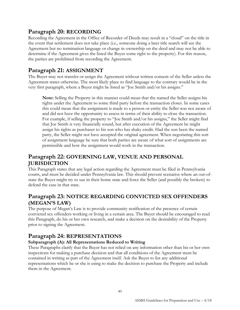# <span id="page-39-0"></span>**Paragraph 20: RECORDING**

Recording the Agreement in the Office of Recorder of Deeds may result in a "cloud" on the title in the event that settlement does not take place (i.e., someone doing a later title search will see the Agreement but no termination language or change in ownership on the deed and may not be able to determine if the Agreement gives the listed the Buyer some right to the property). For this reason, the parties are prohibited from recording the Agreement.

# <span id="page-39-1"></span>**Paragraph 21: ASSIGNMENT**

The Buyer may not transfer or assign the Agreement without written consent of the Seller unless the Agreement states otherwise. The most likely place to find language to the contrary would be in the very first paragraph, where a Buyer might be listed as "Joe Smith and/or his assigns."

**Note:** Selling the Property in this manner could mean that the named the Seller assigns his rights under the Agreement to some third party before the transaction closes. In some cases this could mean that the assignment is made to a person or entity the Seller was not aware of and did not have the opportunity to assess in terms of their ability to close the transaction. For example, if selling the property to "Joe Smith and/or his assigns," the Seller might find that Joe Smith is very financially sound, but after execution of the Agreement he might assign his rights as purchaser to his son who has shaky credit. Had the son been the named party, the Seller might not have accepted the original agreement. When negotiating this sort of assignment language be sure that both parties are aware of what sort of assignments are permissible and how the assignment would work in the transaction.

# <span id="page-39-2"></span>**Paragraph 22: GOVERNING LAW, VENUE AND PERSONAL JURISDICTION**

This Paragraph states that any legal action regarding the Agreement must be filed in Pennsylvania courts, and must be decided under Pennsylvania law. This should prevent scenarios where an out-ofstate the Buyer might try to sue in their home state and force the Seller (and possibly the brokers) to defend the case in that state.

# <span id="page-39-3"></span>**Paragraph 23: NOTICE REGARDING CONVICTED SEX OFFENDERS (MEGAN'S LAW)**

The purpose of Megan's Law is to provide community notification of the presence of certain convicted sex offenders working or living in a certain area. The Buyer should be encouraged to read this Paragraph, do his or her own research, and make a decision on the desirability of the Property prior to signing the Agreement.

# <span id="page-39-4"></span>**Paragraph 24: REPRESENTATIONS**

## **Subparagraph (A): All Representations Reduced to Writing**

These Paragraphs clarify that the Buyer has not relied on any information other than his or her own inspections for making a purchase decision and that all conditions of the Agreement must be contained in writing as part of the Agreement itself. Ask the Buyer to list any additional representations which he or she is using to make the decision to purchase the Property and include them in the Agreement.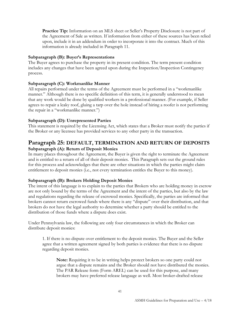**Practice Tip:** Information on an MLS sheet or Seller's Property Disclosure is not part of the Agreement of Sale as written. If information from either of these sources has been relied upon, include it in an addendum in order to incorporate it into the contract. Much of this information is already included in Paragraph 11.

## **Subparagraph (B): Buyer's Representations**

The Buyer agrees to purchase the property in its present condition. The term present condition includes any changes that have been agreed upon during the Inspection/Inspection Contingency process.

#### **Subparagraph (C): Workmanlike Manner**

All repairs performed under the terms of the Agreement must be performed in a "workmanlike manner." Although there is no specific definition of this term, it is generally understood to mean that any work would be done by qualified workers in a professional manner. (For example, if Seller agrees to repair a leaky roof, gluing a tarp over the hole instead of hiring a roofer is not performing the repair in a "workmanlike manner.")

#### **Subparagraph (D): Unrepresented Parties**

This statement is required by the Licensing Act, which states that a Broker must notify the parties if the Broker or any licensee has provided services to any other party in the transaction.

## <span id="page-40-0"></span>**Paragraph 25: DEFAULT, TERMINATION AND RETURN OF DEPOSITS Subparagraph (A): Return of Deposit Monies**

In many places throughout the Agreement, the Buyer is given the right to terminate the Agreement and is entitled to a return of all of their deposit monies. This Paragraph sets out the ground rules for this process and acknowledges that there are other situations in which the parties might claim entitlement to deposit monies (i.e., not every termination entitles the Buyer to this money).

#### **Subparagraph (B): Brokers Holding Deposit Monies**

The intent of this language is to explain to the parties that Brokers who are holding money in escrow are not only bound by the terms of the Agreement and the intent of the parties, but also by the law and regulations regarding the release of escrowed monies. Specifically, the parties are informed that brokers cannot return escrowed funds where there is any "dispute" over their distribution, and that brokers do not have the legal authority to determine whether a party should be entitled to the distribution of those funds where a dispute does exist.

Under Pennsylvania law, the following are only four circumstances in which the Broker can distribute deposit monies:

1. If there is no dispute over entitlement to the deposit monies. The Buyer and the Seller agree that a written agreement signed by both parties is evidence that there is no dispute regarding deposit monies.

**Note:** Requiring it to be in writing helps protect brokers so one party could not argue that a dispute remains and the Broker should not have distributed the monies. The PAR Release form (Form AREL) can be used for this purpose, and many brokers may have preferred release language as well. Most broker-drafted release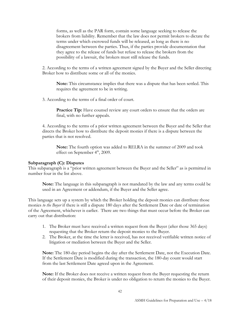forms, as well as the PAR form, contain some language seeking to release the brokers from liability. Remember that the law does not permit brokers to dictate the terms under which escrowed funds will be released, as long as there is no disagreement between the parties. Thus, if the parties provide documentation that they agree to the release of funds but refuse to release the brokers from the possibility of a lawsuit, the brokers must still release the funds.

2. According to the terms of a written agreement signed by the Buyer and the Seller directing Broker how to distribute some or all of the monies.

**Note:** This circumstance implies that there was a dispute that has been settled. This requires the agreement to be in writing.

3. According to the terms of a final order of court.

Practice Tip: Have counsel review any court orders to ensure that the orders are final, with no further appeals.

4. According to the terms of a prior written agreement between the Buyer and the Seller that directs the Broker how to distribute the deposit monies if there is a dispute between the parties that is not resolved.

**Note:** The fourth option was added to RELRA in the summer of 2009 and took effect on September  $4<sup>th</sup>$ , 2009.

#### **Subparagraph (C): Disputes**

This subparagraph is a "prior written agreement between the Buyer and the Seller" as is permitted in number four in the list above.

**Note:** The language in this subparagraph is not mandated by the law and any terms could be used in an Agreement or addendum, if the Buyer and the Seller agree.

This language sets up a system by which the Broker holding the deposit monies can distribute those monies *to the Buyer* if there is still a dispute 180 days after the Settlement Date or date of termination of the Agreement, whichever is earlier. There are two things that must occur before the Broker can carry out that distribution:

- 1. The Broker must have received a written request from the Buyer (after those 365 days) requesting that the Broker return the deposit monies to the Buyer.
- 2. The Broker, at the time the letter is received, has not received verifiable written notice of litigation or mediation between the Buyer and the Seller.

**Note:** The 180-day period begins the day after the Settlement Date, not the Execution Date. If the Settlement Date is modified during the transaction, the 180-day count would start from the last Settlement Date agreed upon in the Agreement.

**Note:** If the Broker does not receive a written request from the Buyer requesting the return of their deposit monies, the Broker is under no obligation to return the monies to the Buyer.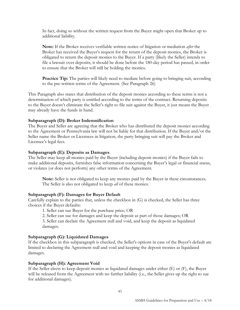In fact, doing so without the written request from the Buyer might open that Broker up to additional liability.

**Note:** If the Broker receives verifiable written notice of litigation or mediation *after* the Broker has received the Buyer's request for the return of the deposit monies, the Broker is obligated to return the deposit monies to the Buyer. If a party (likely the Seller) intends to file a lawsuit over deposits, it should be done before the 180-day period has passed, in order to ensure that the Broker will still be holding the monies.

**Practice Tip:** The parties will likely need to mediate before going to bringing suit, according to the pre-written terms of the Agreement. (See Paragraph 26)

This Paragraph also states that distribution of the deposit monies according to these terms is not a determination of which party is entitled according to the terms of the contract. Returning deposits to the Buyer doesn't eliminate the Seller's right to file suit against the Buyer, it just means the Buyer may already have the funds in hand.

#### **Subparagraph (D): Broker Indemnification**

The Buyer and Seller are agreeing that the Broker who has distributed the deposit monies according to the Agreement or Pennsylvania law will not be liable for that distribution. If the Buyer and/or the Seller name the Broker or Licensees in litigation, the party bringing suit will pay the Broker and Licensee's legal fees.

#### **Subparagraph (E): Deposits as Damages**

The Seller may keep all monies paid by the Buyer (including deposit monies) if the Buyer fails to make additional deposits, furnishes false information concerning the Buyer's legal or financial status, or violates (or does not perform) any other terms of the Agreement.

**Note:** Seller is not obligated to keep any monies paid by the Buyer in these circumstances. The Seller is also not obligated to keep *all* of these monies.

#### **Subparagraph (F): Damages for Buyer Default**

Carefully explain to the parties that, unless the checkbox in (G) is checked, the Seller has three choices if the Buyer defaults:

1. Seller can sue Buyer for the purchase price; OR

2. Seller can sue for damages and keep the deposit as part of those damages; OR

3. Seller can declare the Agreement null and void, and keep the deposit as liquidated damages.

#### **Subparagraph (G): Liquidated Damages**

If the checkbox in this subparagraph is checked, the Seller's options in case of the Buyer's default are limited to declaring the Agreement null and void and keeping the deposit monies as liquidated damages.

#### **Subparagraph (H): Agreement Void**

If the Seller elects to keep deposit monies as liquidated damages under either (E) or (F), the Buyer will be released from the Agreement with no further liability (i.e., the Seller gives up the right to sue for additional damages).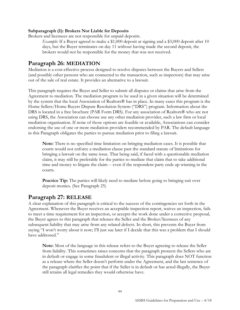#### **Subparagraph (I): Brokers Not Liable for Deposits**

Brokers and licensees are not responsible for unpaid deposits.

*Example:* If a Buyer agreed to make a \$1,000 deposit at signing and a \$3,000 deposit after 10 days, but the Buyer terminates on day 11 without having made the second deposit, the brokers would not be responsible for the money that was not received.

# <span id="page-43-0"></span>**Paragraph 26: MEDIATION**

Mediation is a cost-effective process designed to resolve disputes between the Buyers and Sellers (and possibly other persons who are connected to the transaction, such as inspectors) that may arise out of the sale of real estate. It provides an alternative to a lawsuit.

This paragraph requires the Buyer and Seller to submit all disputes or claims that arise from the Agreement to mediation. The mediation program to be used in a given situation will be determined by the system that the local Association of Realtors® has in place. In many cases this program is the Home Sellers/Home Buyers Dispute Resolution System ("DRS") program. Information about the DRS is located in a free brochure (PAR Form DRS). For any association of Realtors® who are not using DRS, the Association can choose use any other mediation provider, such a law firm or local mediation organization. If none of those options are feasible or available, Associations can consider endorsing the use of one or more mediation providers recommended by PAR. The default language in this Paragraph obligates the parties to pursue mediation prior to filing a lawsuit.

**Note:** There is no specified time limitation on bringing mediation cases. It is possible that courts would not enforce a mediation clause past the standard statute of limitations for bringing a lawsuit on the same issue. That being said, if faced with a questionable mediation claim, it may still be preferable for the parties to mediate that claim that to take additional time and money to litigate the claim -- even if the respondent party ends up winning in the courts.

**Practice Tip:** The parties will likely need to mediate before going to bringing suit over deposit monies. (See Paragraph 25)

# <span id="page-43-1"></span>**Paragraph 27: RELEASE**

A clear explanation of this paragraph is critical to the success of the contingencies set forth in the Agreement. Whenever the Buyer receives an acceptable inspection report, waives an inspection, fails to meet a time requirement for an inspection, or accepts the work done under a corrective proposal, the Buyer agrees to this paragraph that releases the Seller and the Broker/licensees of any subsequent liability that may arise from any related defects. In short, this prevents the Buyer from saying "I won't worry about it now; I'll just sue later if I decide that this was a problem that I should have addressed."

**Note:** Most of the language in this release refers to the Buyer agreeing to release the Seller from liability. This sometimes raises concerns that the paragraph protects the Sellers who are in default or engage in some fraudulent or illegal activity. This paragraph does NOT function as a release where the Seller doesn't perform under the Agreement, and the last sentence of the paragraph clarifies the point that if the Seller is in default or has acted illegally, the Buyer still retains all legal remedies they would otherwise have.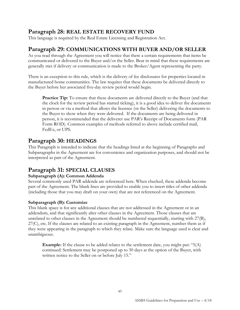# <span id="page-44-0"></span>**Paragraph 28: REAL ESTATE RECOVERY FUND**

This language is required by the Real Estate Licensing and Registration Act.

# <span id="page-44-1"></span>**Paragraph 29: COMMUNICATIONS WITH BUYER AND/OR SELLER**

As you read through the Agreement you will notice that there a certain requirements that items be communicated or delivered to the Buyer and/or the Seller. Bear in mind that these requirements are generally met if delivery or communication is made to the Broker/Agent representing the party.

There is an exception to this rule, which is the delivery of fee disclosures for properties located in manufactured home communities. The law requires that these documents be delivered directly to the Buyer before her associated five-day review period would begin.

**Practice Tip:** To ensure that these documents are delivered directly to the Buyer (and that the clock for the review period has started ticking), it is a good idea to deliver the documents in person or via a method that allows the licensee (or the Seller) delivering the documents to the Buyer to show when they were delivered. If the documents are being delivered in person, it is recommended that the deliverer use PAR's Receipt of Documents form (PAR Form ROD). Common examples of methods referred to above include certified mail, FedEx, or UPS.

# <span id="page-44-2"></span>**Paragraph 30: HEADINGS**

This Paragraph is intended to indicate that the headings listed at the beginning of Paragraphs and Subparagraphs in the Agreement are for convenience and organization purposes, and should not be interpreted as part of the Agreement.

# <span id="page-44-3"></span>**Paragraph 31: SPECIAL CLAUSES**

## **Subparagraph (A): Common Addenda**

Several commonly used PAR addenda are referenced here. When checked, these addenda become part of the Agreement. The blank lines are provided to enable you to insert titles of other addenda (including those that you may draft on your own) that are not referenced on the Agreement.

## **Subparagraph (B): Customize**

This blank space is for any additional clauses that are not addressed in the Agreement or in an addendum, and that significantly alter other clauses in the Agreement. Those clauses that are unrelated to other clauses in the Agreement should be numbered sequentially, starting with 27(B), 27(C), etc. If the clauses are related to an existing paragraph in the Agreement, number them as if they were appearing in the paragraph to which they relate. Make sure the language used is clear and unambiguous.

**Example:** If the clause to be added relates to the settlement date, you might put: "5(A) continued: Settlement may be postponed up to 30 days at the option of the Buyer, with written notice to the Seller on or before July 15."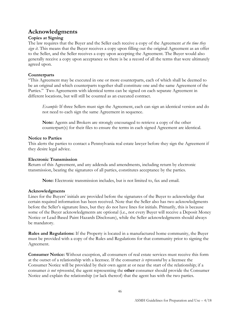# <span id="page-45-0"></span>**Acknowledgments**

# **Copies at Signing**

The law requires that the Buyer and the Seller each receive a copy of the Agreement *at the time they sign it*. This means that the Buyer receives a copy upon filling out the original Agreement as an offer to the Seller, and the Seller receives a copy upon accepting the Agreement. The Buyer would also generally receive a copy upon acceptance so there is be a record of all the terms that were ultimately agreed upon.

# **Counterparts**

"This Agreement may be executed in one or more counterparts, each of which shall be deemed to be an original and which counterparts together shall constitute one and the same Agreement of the Parties." Two Agreements with identical terms can be signed on each separate Agreement in different locations, but will still be counted as an executed contract.

*Example:* If three Sellers must sign the Agreement, each can sign an identical version and do not need to each sign the same Agreement in sequence.

**Note:** Agents and Brokers are strongly encouraged to retrieve a copy of the other counterpart(s) for their files to ensure the terms in each signed Agreement are identical.

## **Notice to Parties**

This alerts the parties to contact a Pennsylvania real estate lawyer before they sign the Agreement if they desire legal advice.

## **Electronic Transmission**

Return of this Agreement, and any addenda and amendments, including return by electronic transmission, bearing the signatures of all parties, constitutes acceptance by the parties.

**Note:** Electronic transmission includes, but is not limited to, fax and email.

## **Acknowledgments**

Lines for the Buyers' initials are provided before the signatures of the Buyer to acknowledge that certain required information has been received. Note that the Seller also has two acknowledgments before the Seller's signature lines, but they do not have lines for initials. Primarily, this is because some of the Buyer acknowledgments are optional (i.e., not every Buyer will receive a Deposit Money Notice or Lead-Based Paint Hazards Disclosure), while the Seller acknowledgments should always be mandatory.

**Rules and Regulations:** If the Property is located in a manufactured home community, the Buyer must be provided with a copy of the Rules and Regulations for that community prior to signing the Agreement.

**Consumer Notice:** Without exception, all consumers of real estate services must receive this form at the outset of a relationship with a licensee. If the consumer *is represented* by a licensee the Consumer Notice will be provided by their own agent at or near the start of the relationship; if a consumer *is not represented*, the agent representing the **other** consumer should provide the Consumer Notice and explain the relationship (or lack thereof) that the agent has with the two parties.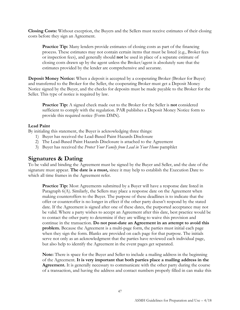**Closing Costs:** Without exception, the Buyers and the Sellers must receive estimates of their closing costs before they sign an Agreement.

**Practice Tip:** Many lenders provide estimates of closing costs as part of the financing process. These estimates may not contain certain items that must be listed (e.g., Broker fees or inspection fees), and generally should **not** be used in place of a separate estimate of closing costs drawn up by the agent unless the Broker/agent is absolutely sure that the estimates provided by the lender are comprehensive and accurate.

**Deposit Money Notice:** When a deposit is accepted by a cooperating Broker (Broker for Buyer) and transferred to the Broker for the Seller, the cooperating Broker must get a Deposit Money Notice signed by the Buyer, and the checks for deposits must be made payable to the Broker for the Seller. This type of notice is required by law.

**Practice Tip:** A signed check made out to the Broker for the Seller is **not** considered sufficient to comply with the regulation. PAR publishes a Deposit Money Notice form to provide this required notice (Form DMN).

#### **Lead Paint**

By initialing this statement, the Buyer is acknowledging three things:

- 1) Buyer has received the Lead-Based Paint Hazards Disclosure
- 2) The Lead-Based Paint Hazards Disclosure is attached to the Agreement
- 3) Buyer has received the *Protect Your Family from Lead in Your Home* pamphlet

# <span id="page-46-0"></span>**Signatures & Dating**

To be valid and binding the Agreement must be signed by the Buyer and Seller, and the date of the signature must appear. **The date is a must,** since it may help to establish the Execution Date to which all time frames in the Agreement refer.

**Practice Tip:** Most Agreements submitted by a Buyer will have a response date listed in Paragraph 6(A). Similarly, the Sellers may place a response date on the Agreement when making counteroffers to the Buyer. The purpose of these deadlines is to indicate that the offer or counteroffer is no longer in effect if the other party doesn't respond by the stated date. If the Agreement is signed after one of these dates, the purported acceptance may not be valid. Where a party wishes to accept an Agreement after this date, best practice would be to contact the other party to determine if they are willing to waive this provision and continue in the transaction. **Do not post-date an Agreement in an attempt to avoid this problem.** Because the Agreement is a multi-page form, the parties must initial each page when they sign the form. Blanks are provided on each page for that purpose. The initials serve not only as an acknowledgment that the parties have reviewed each individual page, but also help to identify the Agreement in the event pages get separated.

**Note:** There is space for the Buyer and Seller to include a mailing address in the beginning of the Agreement. **It is very important that both parties place a mailing address in the Agreement.** It is generally necessary to communicate with the other party during the course of a transaction, and having the address and contact numbers properly filled in can make this